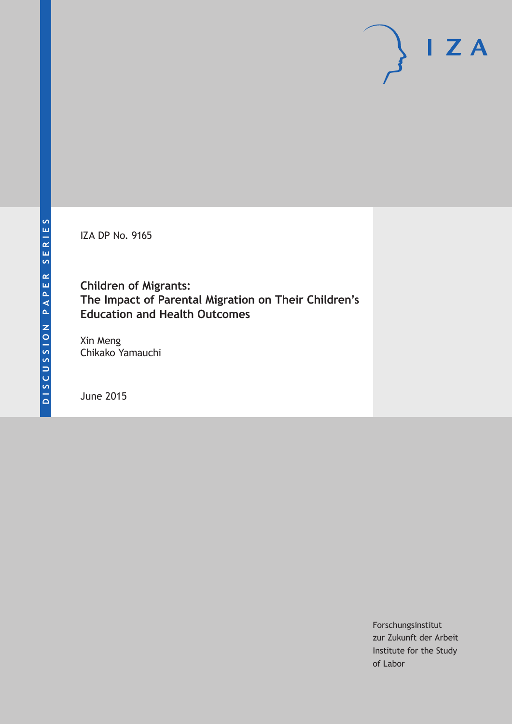IZA DP No. 9165

**Children of Migrants: The Impact of Parental Migration on Their Children's Education and Health Outcomes**

Xin Meng Chikako Yamauchi

June 2015

Forschungsinstitut zur Zukunft der Arbeit Institute for the Study of Labor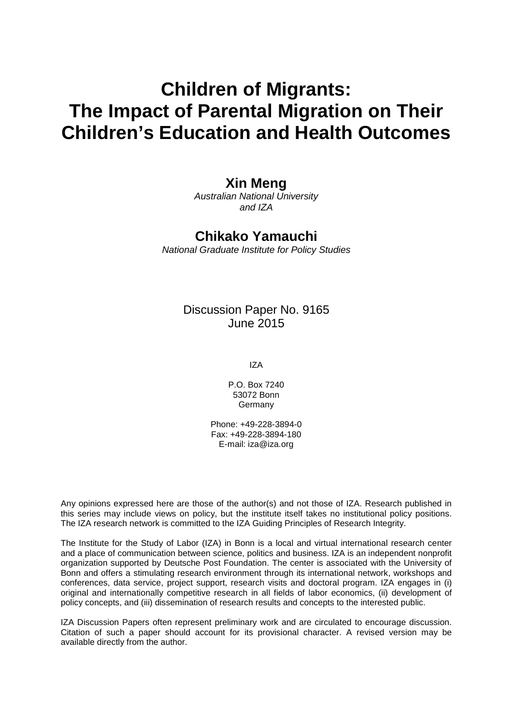# **Children of Migrants: The Impact of Parental Migration on Their Children's Education and Health Outcomes**

### **Xin Meng**

*Australian National University and IZA*

# **Chikako Yamauchi**

*National Graduate Institute for Policy Studies*

### Discussion Paper No. 9165 June 2015

IZA

P.O. Box 7240 53072 Bonn Germany

Phone: +49-228-3894-0 Fax: +49-228-3894-180 E-mail: iza@iza.org

Any opinions expressed here are those of the author(s) and not those of IZA. Research published in this series may include views on policy, but the institute itself takes no institutional policy positions. The IZA research network is committed to the IZA Guiding Principles of Research Integrity.

The Institute for the Study of Labor (IZA) in Bonn is a local and virtual international research center and a place of communication between science, politics and business. IZA is an independent nonprofit organization supported by Deutsche Post Foundation. The center is associated with the University of Bonn and offers a stimulating research environment through its international network, workshops and conferences, data service, project support, research visits and doctoral program. IZA engages in (i) original and internationally competitive research in all fields of labor economics, (ii) development of policy concepts, and (iii) dissemination of research results and concepts to the interested public.

IZA Discussion Papers often represent preliminary work and are circulated to encourage discussion. Citation of such a paper should account for its provisional character. A revised version may be available directly from the author.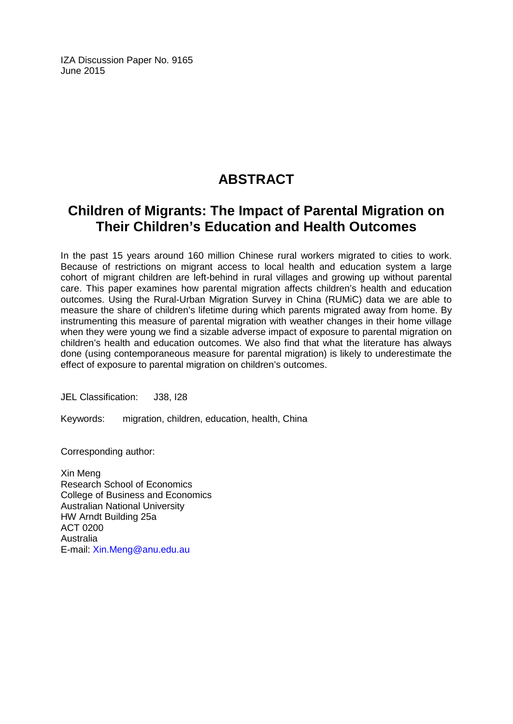IZA Discussion Paper No. 9165 June 2015

# **ABSTRACT**

# **Children of Migrants: The Impact of Parental Migration on Their Children's Education and Health Outcomes**

In the past 15 years around 160 million Chinese rural workers migrated to cities to work. Because of restrictions on migrant access to local health and education system a large cohort of migrant children are left-behind in rural villages and growing up without parental care. This paper examines how parental migration affects children's health and education outcomes. Using the Rural-Urban Migration Survey in China (RUMiC) data we are able to measure the share of children's lifetime during which parents migrated away from home. By instrumenting this measure of parental migration with weather changes in their home village when they were young we find a sizable adverse impact of exposure to parental migration on children's health and education outcomes. We also find that what the literature has always done (using contemporaneous measure for parental migration) is likely to underestimate the effect of exposure to parental migration on children's outcomes.

JEL Classification: J38, I28

Keywords: migration, children, education, health, China

Corresponding author:

Xin Meng Research School of Economics College of Business and Economics Australian National University HW Arndt Building 25a ACT 0200 Australia E-mail: [Xin.Meng@anu.edu.au](mailto:Xin.Meng@anu.edu.au)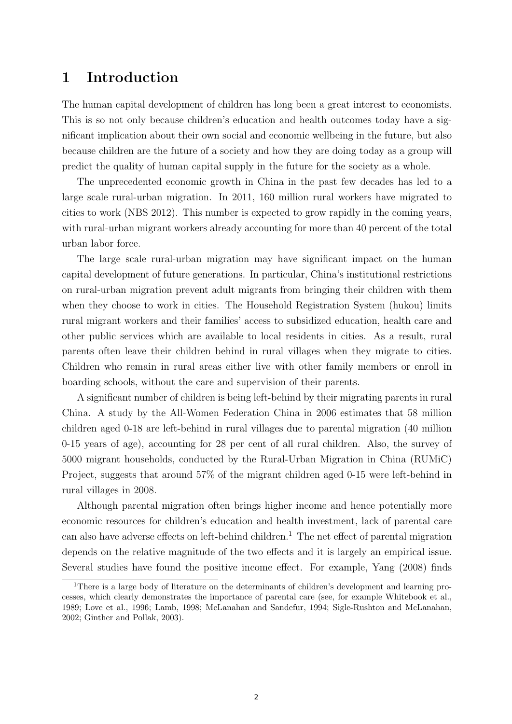### 1 Introduction

The human capital development of children has long been a great interest to economists. This is so not only because children's education and health outcomes today have a significant implication about their own social and economic wellbeing in the future, but also because children are the future of a society and how they are doing today as a group will predict the quality of human capital supply in the future for the society as a whole.

The unprecedented economic growth in China in the past few decades has led to a large scale rural-urban migration. In 2011, 160 million rural workers have migrated to cities to work (NBS 2012). This number is expected to grow rapidly in the coming years, with rural-urban migrant workers already accounting for more than 40 percent of the total urban labor force.

The large scale rural-urban migration may have significant impact on the human capital development of future generations. In particular, China's institutional restrictions on rural-urban migration prevent adult migrants from bringing their children with them when they choose to work in cities. The Household Registration System (hukou) limits rural migrant workers and their families' access to subsidized education, health care and other public services which are available to local residents in cities. As a result, rural parents often leave their children behind in rural villages when they migrate to cities. Children who remain in rural areas either live with other family members or enroll in boarding schools, without the care and supervision of their parents.

A significant number of children is being left-behind by their migrating parents in rural China. A study by the All-Women Federation China in 2006 estimates that 58 million children aged 0-18 are left-behind in rural villages due to parental migration (40 million 0-15 years of age), accounting for 28 per cent of all rural children. Also, the survey of 5000 migrant households, conducted by the Rural-Urban Migration in China (RUMiC) Project, suggests that around 57% of the migrant children aged 0-15 were left-behind in rural villages in 2008.

Although parental migration often brings higher income and hence potentially more economic resources for children's education and health investment, lack of parental care can also have adverse effects on left-behind children.<sup>1</sup> The net effect of parental migration depends on the relative magnitude of the two effects and it is largely an empirical issue. Several studies have found the positive income effect. For example, Yang (2008) finds

<sup>1</sup>There is a large body of literature on the determinants of children's development and learning processes, which clearly demonstrates the importance of parental care (see, for example Whitebook et al., 1989; Love et al., 1996; Lamb, 1998; McLanahan and Sandefur, 1994; Sigle-Rushton and McLanahan, 2002; Ginther and Pollak, 2003).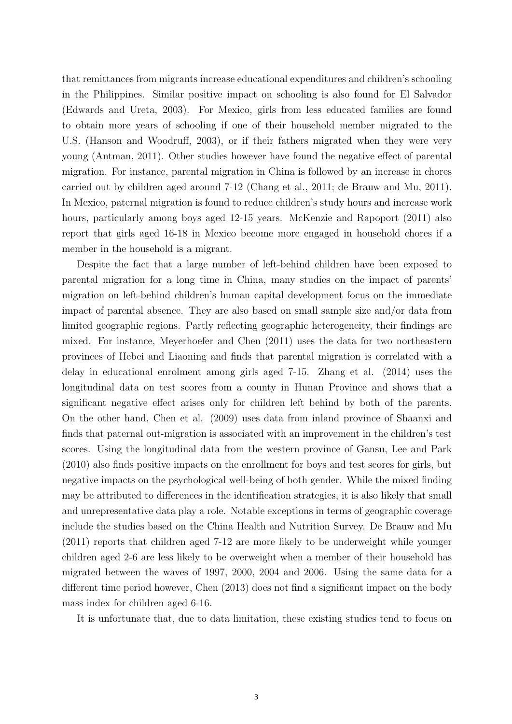that remittances from migrants increase educational expenditures and children's schooling in the Philippines. Similar positive impact on schooling is also found for El Salvador (Edwards and Ureta, 2003). For Mexico, girls from less educated families are found to obtain more years of schooling if one of their household member migrated to the U.S. (Hanson and Woodruff, 2003), or if their fathers migrated when they were very young (Antman, 2011). Other studies however have found the negative effect of parental migration. For instance, parental migration in China is followed by an increase in chores carried out by children aged around 7-12 (Chang et al., 2011; de Brauw and Mu, 2011). In Mexico, paternal migration is found to reduce children's study hours and increase work hours, particularly among boys aged 12-15 years. McKenzie and Rapoport  $(2011)$  also report that girls aged 16-18 in Mexico become more engaged in household chores if a member in the household is a migrant.

Despite the fact that a large number of left-behind children have been exposed to parental migration for a long time in China, many studies on the impact of parents' migration on left-behind children's human capital development focus on the immediate impact of parental absence. They are also based on small sample size and/or data from limited geographic regions. Partly reflecting geographic heterogeneity, their findings are mixed. For instance, Meyerhoefer and Chen (2011) uses the data for two northeastern provinces of Hebei and Liaoning and finds that parental migration is correlated with a delay in educational enrolment among girls aged 7-15. Zhang et al. (2014) uses the longitudinal data on test scores from a county in Hunan Province and shows that a significant negative effect arises only for children left behind by both of the parents. On the other hand, Chen et al. (2009) uses data from inland province of Shaanxi and finds that paternal out-migration is associated with an improvement in the children's test scores. Using the longitudinal data from the western province of Gansu, Lee and Park (2010) also finds positive impacts on the enrollment for boys and test scores for girls, but negative impacts on the psychological well-being of both gender. While the mixed finding may be attributed to differences in the identification strategies, it is also likely that small and unrepresentative data play a role. Notable exceptions in terms of geographic coverage include the studies based on the China Health and Nutrition Survey. De Brauw and Mu (2011) reports that children aged 7-12 are more likely to be underweight while younger children aged 2-6 are less likely to be overweight when a member of their household has migrated between the waves of 1997, 2000, 2004 and 2006. Using the same data for a different time period however, Chen (2013) does not find a significant impact on the body mass index for children aged 6-16.

It is unfortunate that, due to data limitation, these existing studies tend to focus on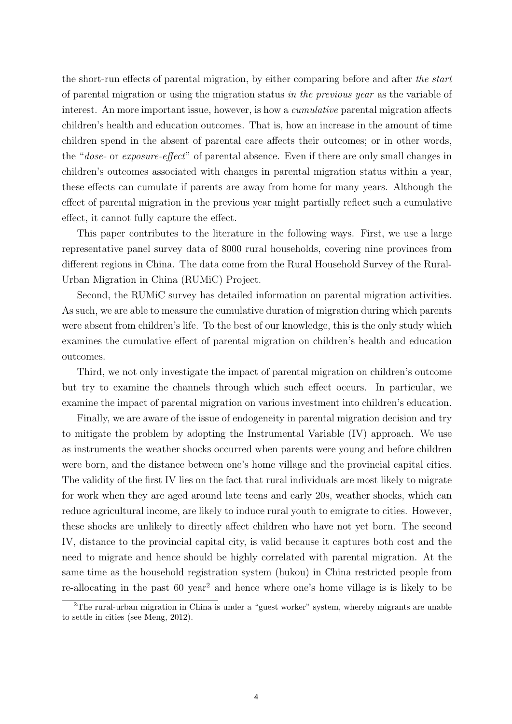the short-run effects of parental migration, by either comparing before and after the start of parental migration or using the migration status in the previous year as the variable of interest. An more important issue, however, is how a *cumulative* parental migration affects children's health and education outcomes. That is, how an increase in the amount of time children spend in the absent of parental care affects their outcomes; or in other words, the "dose- or exposure-effect" of parental absence. Even if there are only small changes in children's outcomes associated with changes in parental migration status within a year, these effects can cumulate if parents are away from home for many years. Although the effect of parental migration in the previous year might partially reflect such a cumulative effect, it cannot fully capture the effect.

This paper contributes to the literature in the following ways. First, we use a large representative panel survey data of 8000 rural households, covering nine provinces from different regions in China. The data come from the Rural Household Survey of the Rural-Urban Migration in China (RUMiC) Project.

Second, the RUMiC survey has detailed information on parental migration activities. As such, we are able to measure the cumulative duration of migration during which parents were absent from children's life. To the best of our knowledge, this is the only study which examines the cumulative effect of parental migration on children's health and education outcomes.

Third, we not only investigate the impact of parental migration on children's outcome but try to examine the channels through which such effect occurs. In particular, we examine the impact of parental migration on various investment into children's education.

Finally, we are aware of the issue of endogeneity in parental migration decision and try to mitigate the problem by adopting the Instrumental Variable (IV) approach. We use as instruments the weather shocks occurred when parents were young and before children were born, and the distance between one's home village and the provincial capital cities. The validity of the first IV lies on the fact that rural individuals are most likely to migrate for work when they are aged around late teens and early 20s, weather shocks, which can reduce agricultural income, are likely to induce rural youth to emigrate to cities. However, these shocks are unlikely to directly affect children who have not yet born. The second IV, distance to the provincial capital city, is valid because it captures both cost and the need to migrate and hence should be highly correlated with parental migration. At the same time as the household registration system (hukou) in China restricted people from re-allocating in the past 60 year<sup>2</sup> and hence where one's home village is is likely to be

<sup>2</sup>The rural-urban migration in China is under a "guest worker" system, whereby migrants are unable to settle in cities (see Meng, 2012).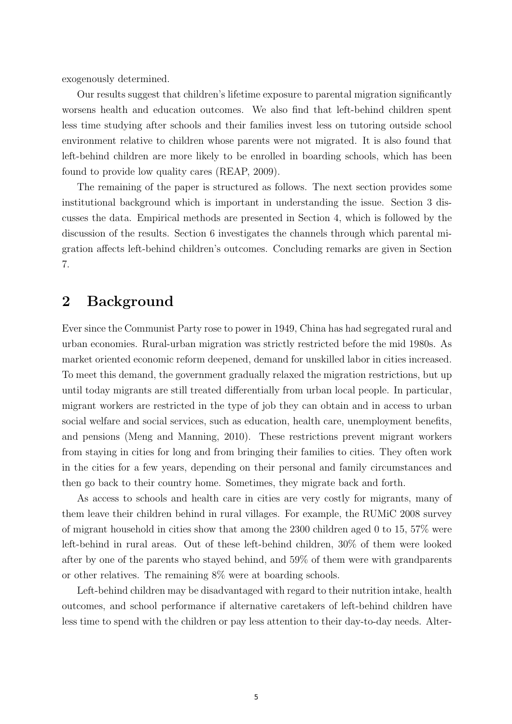exogenously determined.

Our results suggest that children's lifetime exposure to parental migration significantly worsens health and education outcomes. We also find that left-behind children spent less time studying after schools and their families invest less on tutoring outside school environment relative to children whose parents were not migrated. It is also found that left-behind children are more likely to be enrolled in boarding schools, which has been found to provide low quality cares (REAP, 2009).

The remaining of the paper is structured as follows. The next section provides some institutional background which is important in understanding the issue. Section 3 discusses the data. Empirical methods are presented in Section 4, which is followed by the discussion of the results. Section 6 investigates the channels through which parental migration affects left-behind children's outcomes. Concluding remarks are given in Section 7.

## 2 Background

Ever since the Communist Party rose to power in 1949, China has had segregated rural and urban economies. Rural-urban migration was strictly restricted before the mid 1980s. As market oriented economic reform deepened, demand for unskilled labor in cities increased. To meet this demand, the government gradually relaxed the migration restrictions, but up until today migrants are still treated differentially from urban local people. In particular, migrant workers are restricted in the type of job they can obtain and in access to urban social welfare and social services, such as education, health care, unemployment benefits, and pensions (Meng and Manning, 2010). These restrictions prevent migrant workers from staying in cities for long and from bringing their families to cities. They often work in the cities for a few years, depending on their personal and family circumstances and then go back to their country home. Sometimes, they migrate back and forth.

As access to schools and health care in cities are very costly for migrants, many of them leave their children behind in rural villages. For example, the RUMiC 2008 survey of migrant household in cities show that among the 2300 children aged 0 to 15, 57% were left-behind in rural areas. Out of these left-behind children, 30% of them were looked after by one of the parents who stayed behind, and 59% of them were with grandparents or other relatives. The remaining 8% were at boarding schools.

Left-behind children may be disadvantaged with regard to their nutrition intake, health outcomes, and school performance if alternative caretakers of left-behind children have less time to spend with the children or pay less attention to their day-to-day needs. Alter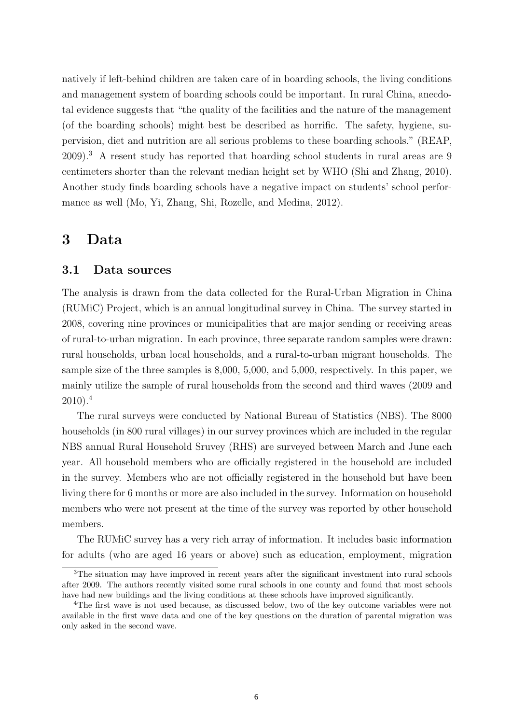natively if left-behind children are taken care of in boarding schools, the living conditions and management system of boarding schools could be important. In rural China, anecdotal evidence suggests that "the quality of the facilities and the nature of the management (of the boarding schools) might best be described as horrific. The safety, hygiene, supervision, diet and nutrition are all serious problems to these boarding schools." (REAP, 2009).<sup>3</sup> A resent study has reported that boarding school students in rural areas are 9 centimeters shorter than the relevant median height set by WHO (Shi and Zhang, 2010). Another study finds boarding schools have a negative impact on students' school performance as well (Mo, Yi, Zhang, Shi, Rozelle, and Medina, 2012).

### 3 Data

#### 3.1 Data sources

The analysis is drawn from the data collected for the Rural-Urban Migration in China (RUMiC) Project, which is an annual longitudinal survey in China. The survey started in 2008, covering nine provinces or municipalities that are major sending or receiving areas of rural-to-urban migration. In each province, three separate random samples were drawn: rural households, urban local households, and a rural-to-urban migrant households. The sample size of the three samples is 8,000, 5,000, and 5,000, respectively. In this paper, we mainly utilize the sample of rural households from the second and third waves (2009 and 2010).<sup>4</sup>

The rural surveys were conducted by National Bureau of Statistics (NBS). The 8000 households (in 800 rural villages) in our survey provinces which are included in the regular NBS annual Rural Household Sruvey (RHS) are surveyed between March and June each year. All household members who are officially registered in the household are included in the survey. Members who are not officially registered in the household but have been living there for 6 months or more are also included in the survey. Information on household members who were not present at the time of the survey was reported by other household members.

The RUMiC survey has a very rich array of information. It includes basic information for adults (who are aged 16 years or above) such as education, employment, migration

 $3$ The situation may have improved in recent years after the significant investment into rural schools after 2009. The authors recently visited some rural schools in one county and found that most schools have had new buildings and the living conditions at these schools have improved significantly.

<sup>4</sup>The first wave is not used because, as discussed below, two of the key outcome variables were not available in the first wave data and one of the key questions on the duration of parental migration was only asked in the second wave.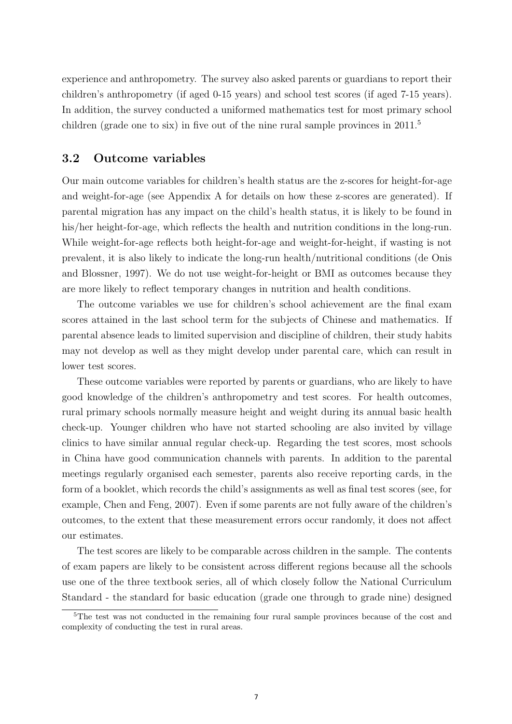experience and anthropometry. The survey also asked parents or guardians to report their children's anthropometry (if aged 0-15 years) and school test scores (if aged 7-15 years). In addition, the survey conducted a uniformed mathematics test for most primary school children (grade one to six) in five out of the nine rural sample provinces in  $2011<sup>5</sup>$ 

#### 3.2 Outcome variables

Our main outcome variables for children's health status are the z-scores for height-for-age and weight-for-age (see Appendix A for details on how these z-scores are generated). If parental migration has any impact on the child's health status, it is likely to be found in his/her height-for-age, which reflects the health and nutrition conditions in the long-run. While weight-for-age reflects both height-for-age and weight-for-height, if wasting is not prevalent, it is also likely to indicate the long-run health/nutritional conditions (de Onis and Blossner, 1997). We do not use weight-for-height or BMI as outcomes because they are more likely to reflect temporary changes in nutrition and health conditions.

The outcome variables we use for children's school achievement are the final exam scores attained in the last school term for the subjects of Chinese and mathematics. If parental absence leads to limited supervision and discipline of children, their study habits may not develop as well as they might develop under parental care, which can result in lower test scores.

These outcome variables were reported by parents or guardians, who are likely to have good knowledge of the children's anthropometry and test scores. For health outcomes, rural primary schools normally measure height and weight during its annual basic health check-up. Younger children who have not started schooling are also invited by village clinics to have similar annual regular check-up. Regarding the test scores, most schools in China have good communication channels with parents. In addition to the parental meetings regularly organised each semester, parents also receive reporting cards, in the form of a booklet, which records the child's assignments as well as final test scores (see, for example, Chen and Feng, 2007). Even if some parents are not fully aware of the children's outcomes, to the extent that these measurement errors occur randomly, it does not affect our estimates.

The test scores are likely to be comparable across children in the sample. The contents of exam papers are likely to be consistent across different regions because all the schools use one of the three textbook series, all of which closely follow the National Curriculum Standard - the standard for basic education (grade one through to grade nine) designed

<sup>&</sup>lt;sup>5</sup>The test was not conducted in the remaining four rural sample provinces because of the cost and complexity of conducting the test in rural areas.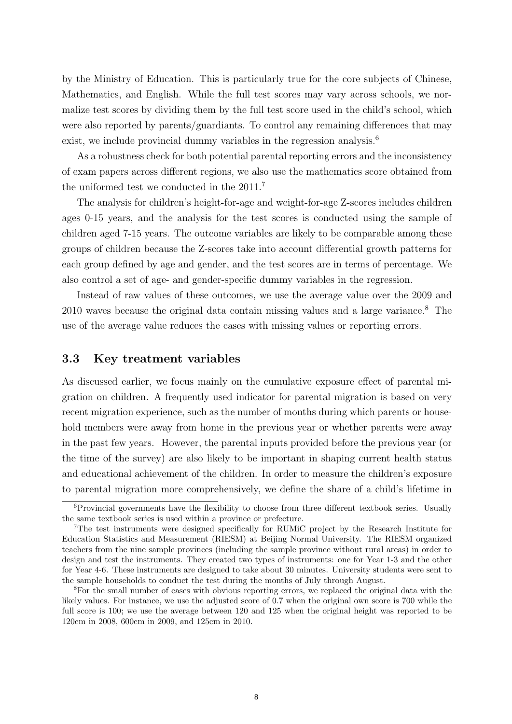by the Ministry of Education. This is particularly true for the core subjects of Chinese, Mathematics, and English. While the full test scores may vary across schools, we normalize test scores by dividing them by the full test score used in the child's school, which were also reported by parents/guardiants. To control any remaining differences that may exist, we include provincial dummy variables in the regression analysis.<sup>6</sup>

As a robustness check for both potential parental reporting errors and the inconsistency of exam papers across different regions, we also use the mathematics score obtained from the uniformed test we conducted in the 2011.<sup>7</sup>

The analysis for children's height-for-age and weight-for-age Z-scores includes children ages 0-15 years, and the analysis for the test scores is conducted using the sample of children aged 7-15 years. The outcome variables are likely to be comparable among these groups of children because the Z-scores take into account differential growth patterns for each group defined by age and gender, and the test scores are in terms of percentage. We also control a set of age- and gender-specific dummy variables in the regression.

Instead of raw values of these outcomes, we use the average value over the 2009 and 2010 waves because the original data contain missing values and a large variance.<sup>8</sup> The use of the average value reduces the cases with missing values or reporting errors.

#### 3.3 Key treatment variables

As discussed earlier, we focus mainly on the cumulative exposure effect of parental migration on children. A frequently used indicator for parental migration is based on very recent migration experience, such as the number of months during which parents or household members were away from home in the previous year or whether parents were away in the past few years. However, the parental inputs provided before the previous year (or the time of the survey) are also likely to be important in shaping current health status and educational achievement of the children. In order to measure the children's exposure to parental migration more comprehensively, we define the share of a child's lifetime in

 ${}^{6}$ Provincial governments have the flexibility to choose from three different textbook series. Usually the same textbook series is used within a province or prefecture.

<sup>7</sup>The test instruments were designed specifically for RUMiC project by the Research Institute for Education Statistics and Measurement (RIESM) at Beijing Normal University. The RIESM organized teachers from the nine sample provinces (including the sample province without rural areas) in order to design and test the instruments. They created two types of instruments: one for Year 1-3 and the other for Year 4-6. These instruments are designed to take about 30 minutes. University students were sent to the sample households to conduct the test during the months of July through August.

<sup>&</sup>lt;sup>8</sup>For the small number of cases with obvious reporting errors, we replaced the original data with the likely values. For instance, we use the adjusted score of 0.7 when the original own score is 700 while the full score is 100; we use the average between 120 and 125 when the original height was reported to be 120cm in 2008, 600cm in 2009, and 125cm in 2010.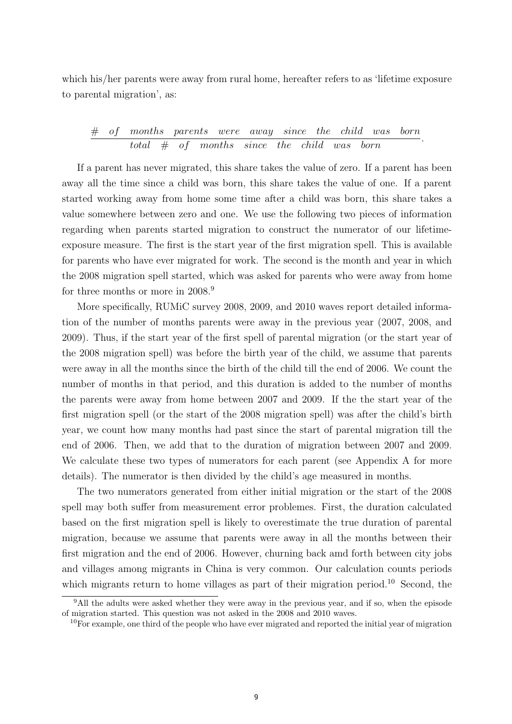which his/her parents were away from rural home, hereafter refers to as 'lifetime exposure to parental migration', as:

#### # of months parents were away since the child was born  $\frac{1}{\text{total}}$   $\frac{1}{\text{total}}$   $\frac{1}{\text{total}}$  of months since the child was born.

If a parent has never migrated, this share takes the value of zero. If a parent has been away all the time since a child was born, this share takes the value of one. If a parent started working away from home some time after a child was born, this share takes a value somewhere between zero and one. We use the following two pieces of information regarding when parents started migration to construct the numerator of our lifetimeexposure measure. The first is the start year of the first migration spell. This is available for parents who have ever migrated for work. The second is the month and year in which the 2008 migration spell started, which was asked for parents who were away from home for three months or more in 2008.<sup>9</sup>

More specifically, RUMiC survey 2008, 2009, and 2010 waves report detailed information of the number of months parents were away in the previous year (2007, 2008, and 2009). Thus, if the start year of the first spell of parental migration (or the start year of the 2008 migration spell) was before the birth year of the child, we assume that parents were away in all the months since the birth of the child till the end of 2006. We count the number of months in that period, and this duration is added to the number of months the parents were away from home between 2007 and 2009. If the the start year of the first migration spell (or the start of the 2008 migration spell) was after the child's birth year, we count how many months had past since the start of parental migration till the end of 2006. Then, we add that to the duration of migration between 2007 and 2009. We calculate these two types of numerators for each parent (see Appendix A for more details). The numerator is then divided by the child's age measured in months.

The two numerators generated from either initial migration or the start of the 2008 spell may both suffer from measurement error problemes. First, the duration calculated based on the first migration spell is likely to overestimate the true duration of parental migration, because we assume that parents were away in all the months between their first migration and the end of 2006. However, churning back amd forth between city jobs and villages among migrants in China is very common. Our calculation counts periods which migrants return to home villages as part of their migration period.<sup>10</sup> Second, the

<sup>9</sup>All the adults were asked whether they were away in the previous year, and if so, when the episode of migration started. This question was not asked in the 2008 and 2010 waves.

 $10$ For example, one third of the people who have ever migrated and reported the initial year of migration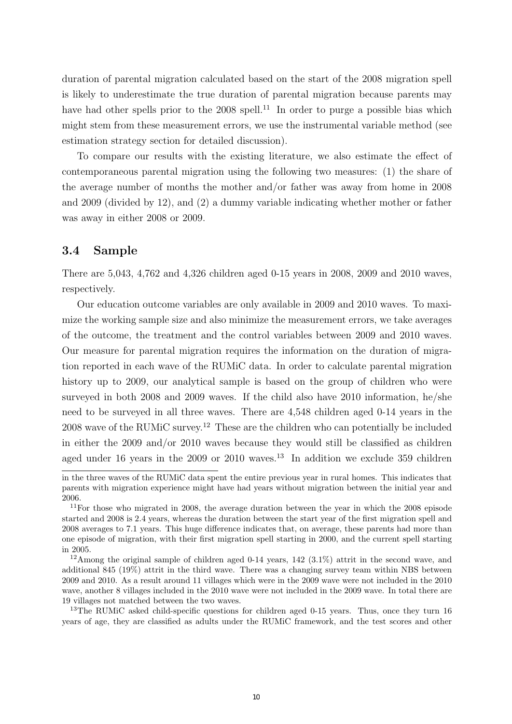duration of parental migration calculated based on the start of the 2008 migration spell is likely to underestimate the true duration of parental migration because parents may have had other spells prior to the  $2008$  spell.<sup>11</sup> In order to purge a possible bias which might stem from these measurement errors, we use the instrumental variable method (see estimation strategy section for detailed discussion).

To compare our results with the existing literature, we also estimate the effect of contemporaneous parental migration using the following two measures: (1) the share of the average number of months the mother and/or father was away from home in 2008 and 2009 (divided by 12), and (2) a dummy variable indicating whether mother or father was away in either 2008 or 2009.

#### 3.4 Sample

There are 5,043, 4,762 and 4,326 children aged 0-15 years in 2008, 2009 and 2010 waves, respectively.

Our education outcome variables are only available in 2009 and 2010 waves. To maximize the working sample size and also minimize the measurement errors, we take averages of the outcome, the treatment and the control variables between 2009 and 2010 waves. Our measure for parental migration requires the information on the duration of migration reported in each wave of the RUMiC data. In order to calculate parental migration history up to 2009, our analytical sample is based on the group of children who were surveyed in both 2008 and 2009 waves. If the child also have 2010 information, he/she need to be surveyed in all three waves. There are 4,548 children aged 0-14 years in the 2008 wave of the RUMIC survey.<sup>12</sup> These are the children who can potentially be included in either the 2009 and/or 2010 waves because they would still be classified as children aged under 16 years in the 2009 or 2010 waves.<sup>13</sup> In addition we exclude 359 children

in the three waves of the RUMiC data spent the entire previous year in rural homes. This indicates that parents with migration experience might have had years without migration between the initial year and 2006.

<sup>&</sup>lt;sup>11</sup>For those who migrated in 2008, the average duration between the year in which the 2008 episode started and 2008 is 2.4 years, whereas the duration between the start year of the first migration spell and 2008 averages to 7.1 years. This huge difference indicates that, on average, these parents had more than one episode of migration, with their first migration spell starting in 2000, and the current spell starting in 2005.

 $12$ Among the original sample of children aged 0-14 years, 142 (3.1%) attrit in the second wave, and additional 845 (19%) attrit in the third wave. There was a changing survey team within NBS between 2009 and 2010. As a result around 11 villages which were in the 2009 wave were not included in the 2010 wave, another 8 villages included in the 2010 wave were not included in the 2009 wave. In total there are 19 villages not matched between the two waves.

<sup>&</sup>lt;sup>13</sup>The RUMiC asked child-specific questions for children aged 0-15 years. Thus, once they turn 16 years of age, they are classified as adults under the RUMiC framework, and the test scores and other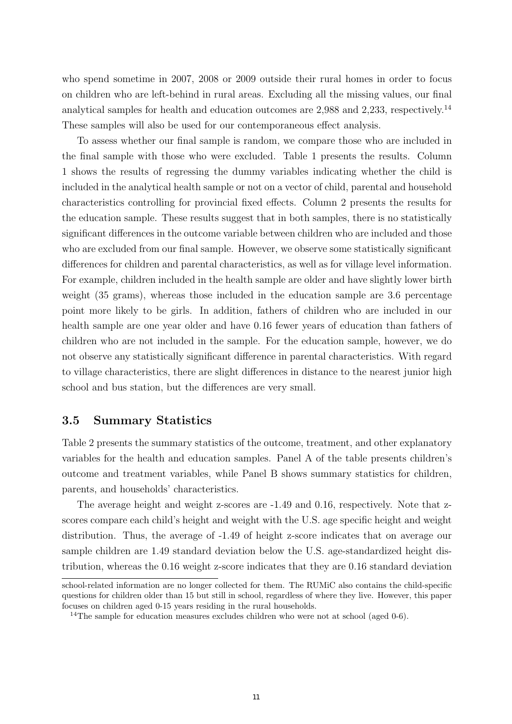who spend sometime in 2007, 2008 or 2009 outside their rural homes in order to focus on children who are left-behind in rural areas. Excluding all the missing values, our final analytical samples for health and education outcomes are 2,988 and 2,233, respectively.<sup>14</sup> These samples will also be used for our contemporaneous effect analysis.

To assess whether our final sample is random, we compare those who are included in the final sample with those who were excluded. Table 1 presents the results. Column 1 shows the results of regressing the dummy variables indicating whether the child is included in the analytical health sample or not on a vector of child, parental and household characteristics controlling for provincial fixed effects. Column 2 presents the results for the education sample. These results suggest that in both samples, there is no statistically significant differences in the outcome variable between children who are included and those who are excluded from our final sample. However, we observe some statistically significant differences for children and parental characteristics, as well as for village level information. For example, children included in the health sample are older and have slightly lower birth weight (35 grams), whereas those included in the education sample are 3.6 percentage point more likely to be girls. In addition, fathers of children who are included in our health sample are one year older and have 0.16 fewer years of education than fathers of children who are not included in the sample. For the education sample, however, we do not observe any statistically significant difference in parental characteristics. With regard to village characteristics, there are slight differences in distance to the nearest junior high school and bus station, but the differences are very small.

#### 3.5 Summary Statistics

Table 2 presents the summary statistics of the outcome, treatment, and other explanatory variables for the health and education samples. Panel A of the table presents children's outcome and treatment variables, while Panel B shows summary statistics for children, parents, and households' characteristics.

The average height and weight z-scores are -1.49 and 0.16, respectively. Note that zscores compare each child's height and weight with the U.S. age specific height and weight distribution. Thus, the average of -1.49 of height z-score indicates that on average our sample children are 1.49 standard deviation below the U.S. age-standardized height distribution, whereas the 0.16 weight z-score indicates that they are 0.16 standard deviation

school-related information are no longer collected for them. The RUMiC also contains the child-specific questions for children older than 15 but still in school, regardless of where they live. However, this paper focuses on children aged 0-15 years residing in the rural households.

<sup>&</sup>lt;sup>14</sup>The sample for education measures excludes children who were not at school (aged  $0-6$ ).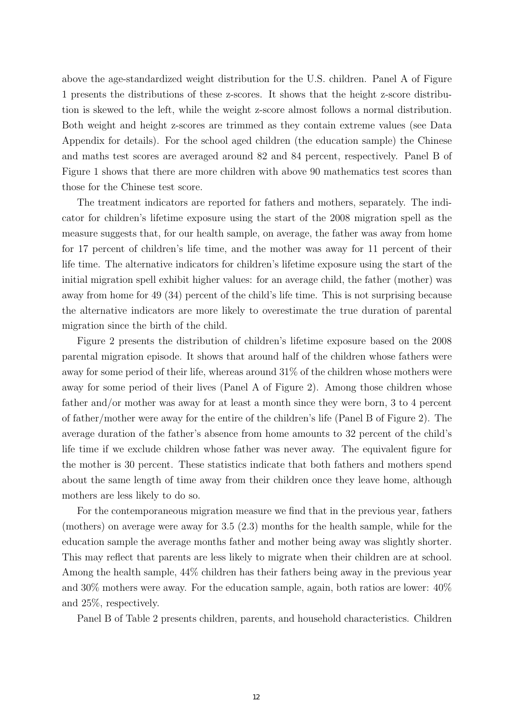above the age-standardized weight distribution for the U.S. children. Panel A of Figure 1 presents the distributions of these z-scores. It shows that the height z-score distribution is skewed to the left, while the weight z-score almost follows a normal distribution. Both weight and height z-scores are trimmed as they contain extreme values (see Data Appendix for details). For the school aged children (the education sample) the Chinese and maths test scores are averaged around 82 and 84 percent, respectively. Panel B of Figure 1 shows that there are more children with above 90 mathematics test scores than those for the Chinese test score.

The treatment indicators are reported for fathers and mothers, separately. The indicator for children's lifetime exposure using the start of the 2008 migration spell as the measure suggests that, for our health sample, on average, the father was away from home for 17 percent of children's life time, and the mother was away for 11 percent of their life time. The alternative indicators for children's lifetime exposure using the start of the initial migration spell exhibit higher values: for an average child, the father (mother) was away from home for 49 (34) percent of the child's life time. This is not surprising because the alternative indicators are more likely to overestimate the true duration of parental migration since the birth of the child.

Figure 2 presents the distribution of children's lifetime exposure based on the 2008 parental migration episode. It shows that around half of the children whose fathers were away for some period of their life, whereas around 31% of the children whose mothers were away for some period of their lives (Panel A of Figure 2). Among those children whose father and/or mother was away for at least a month since they were born, 3 to 4 percent of father/mother were away for the entire of the children's life (Panel B of Figure 2). The average duration of the father's absence from home amounts to 32 percent of the child's life time if we exclude children whose father was never away. The equivalent figure for the mother is 30 percent. These statistics indicate that both fathers and mothers spend about the same length of time away from their children once they leave home, although mothers are less likely to do so.

For the contemporaneous migration measure we find that in the previous year, fathers (mothers) on average were away for 3.5 (2.3) months for the health sample, while for the education sample the average months father and mother being away was slightly shorter. This may reflect that parents are less likely to migrate when their children are at school. Among the health sample, 44% children has their fathers being away in the previous year and 30% mothers were away. For the education sample, again, both ratios are lower: 40% and 25%, respectively.

Panel B of Table 2 presents children, parents, and household characteristics. Children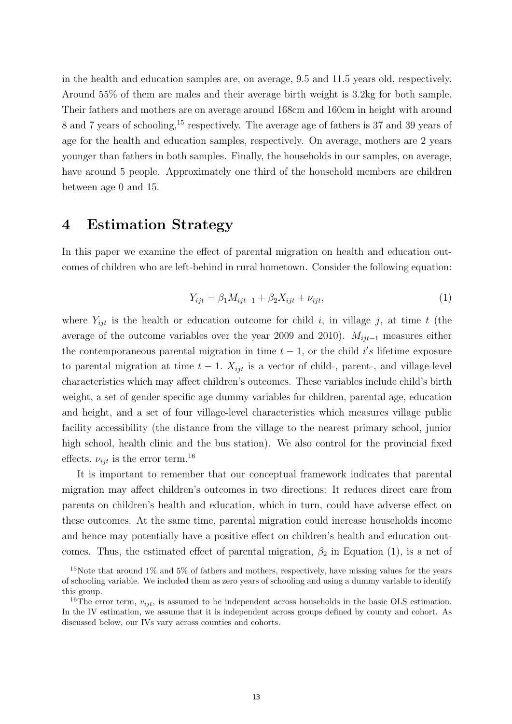in the health and education samples are, on average, 9.5 and 11.5 years old, respectively. Around 55% of them are males and their average birth weight is 3.2kg for both sample. Their fathers and mothers are on average around 168cm and 160cm in height with around 8 and 7 years of schooling,<sup>15</sup> respectively. The average age of fathers is 37 and 39 years of age for the health and education samples, respectively. On average, mothers are 2 years younger than fathers in both samples. Finally, the households in our samples, on average, have around 5 people. Approximately one third of the household members are children between age 0 and 15.

## 4 Estimation Strategy

In this paper we examine the effect of parental migration on health and education outcomes of children who are left-behind in rural hometown. Consider the following equation:

$$
Y_{ijt} = \beta_1 M_{ijt-1} + \beta_2 X_{ijt} + \nu_{ijt},\tag{1}
$$

where  $Y_{ijt}$  is the health or education outcome for child i, in village j, at time t (the average of the outcome variables over the year 2009 and 2010).  $M_{ijt-1}$  measures either the contemporaneous parental migration in time  $t-1$ , or the child i's lifetime exposure to parental migration at time  $t - 1$ .  $X_{ijt}$  is a vector of child-, parent-, and village-level characteristics which may affect children's outcomes. These variables include child's birth weight, a set of gender specific age dummy variables for children, parental age, education and height, and a set of four village-level characteristics which measures village public facility accessibility (the distance from the village to the nearest primary school, junior high school, health clinic and the bus station). We also control for the provincial fixed effects.  $\nu_{ijt}$  is the error term.<sup>16</sup>

It is important to remember that our conceptual framework indicates that parental migration may affect children's outcomes in two directions: It reduces direct care from parents on children's health and education, which in turn, could have adverse effect on these outcomes. At the same time, parental migration could increase households income and hence may potentially have a positive effect on children's health and education outcomes. Thus, the estimated effect of parental migration,  $\beta_2$  in Equation (1), is a net of

<sup>&</sup>lt;sup>15</sup>Note that around  $1\%$  and  $5\%$  of fathers and mothers, respectively, have missing values for the years of schooling variable. We included them as zero years of schooling and using a dummy variable to identify this group.

<sup>&</sup>lt;sup>16</sup>The error term,  $v_{ijt}$ , is assumed to be independent across households in the basic OLS estimation. In the IV estimation, we assume that it is independent across groups defined by county and cohort. As discussed below, our IVs vary across counties and cohorts.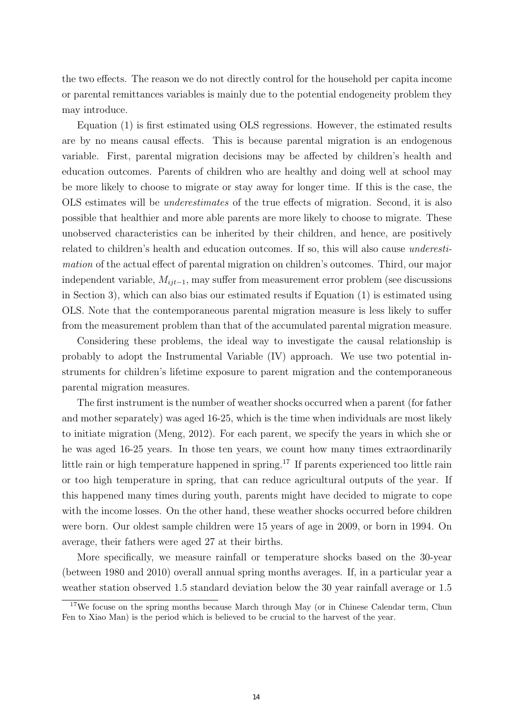the two effects. The reason we do not directly control for the household per capita income or parental remittances variables is mainly due to the potential endogeneity problem they may introduce.

Equation (1) is first estimated using OLS regressions. However, the estimated results are by no means causal effects. This is because parental migration is an endogenous variable. First, parental migration decisions may be affected by children's health and education outcomes. Parents of children who are healthy and doing well at school may be more likely to choose to migrate or stay away for longer time. If this is the case, the OLS estimates will be underestimates of the true effects of migration. Second, it is also possible that healthier and more able parents are more likely to choose to migrate. These unobserved characteristics can be inherited by their children, and hence, are positively related to children's health and education outcomes. If so, this will also cause underestimation of the actual effect of parental migration on children's outcomes. Third, our major independent variable,  $M_{i,i-1}$ , may suffer from measurement error problem (see discussions in Section 3), which can also bias our estimated results if Equation (1) is estimated using OLS. Note that the contemporaneous parental migration measure is less likely to suffer from the measurement problem than that of the accumulated parental migration measure.

Considering these problems, the ideal way to investigate the causal relationship is probably to adopt the Instrumental Variable (IV) approach. We use two potential instruments for children's lifetime exposure to parent migration and the contemporaneous parental migration measures.

The first instrument is the number of weather shocks occurred when a parent (for father and mother separately) was aged 16-25, which is the time when individuals are most likely to initiate migration (Meng, 2012). For each parent, we specify the years in which she or he was aged 16-25 years. In those ten years, we count how many times extraordinarily little rain or high temperature happened in spring.<sup>17</sup> If parents experienced too little rain or too high temperature in spring, that can reduce agricultural outputs of the year. If this happened many times during youth, parents might have decided to migrate to cope with the income losses. On the other hand, these weather shocks occurred before children were born. Our oldest sample children were 15 years of age in 2009, or born in 1994. On average, their fathers were aged 27 at their births.

More specifically, we measure rainfall or temperature shocks based on the 30-year (between 1980 and 2010) overall annual spring months averages. If, in a particular year a weather station observed 1.5 standard deviation below the 30 year rainfall average or 1.5

<sup>&</sup>lt;sup>17</sup>We focuse on the spring months because March through May (or in Chinese Calendar term, Chun Fen to Xiao Man) is the period which is believed to be crucial to the harvest of the year.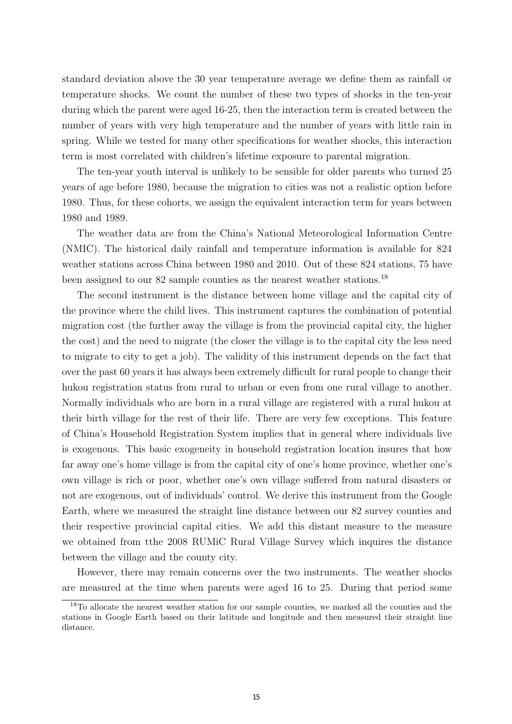standard deviation above the 30 year temperature average we define them as rainfall or temperature shocks. We count the number of these two types of shocks in the ten-year during which the parent were aged 16-25, then the interaction term is created between the number of years with very high temperature and the number of years with little rain in spring. While we tested for many other specifications for weather shocks, this interaction term is most correlated with children's lifetime exposure to parental migration.

The ten-year youth interval is unlikely to be sensible for older parents who turned 25 years of age before 1980, because the migration to cities was not a realistic option before 1980. Thus, for these cohorts, we assign the equivalent interaction term for years between 1980 and 1989.

The weather data are from the China's National Meteorological Information Centre (NMIC). The historical daily rainfall and temperature information is available for 824 weather stations across China between 1980 and 2010. Out of these 824 stations, 75 have been assigned to our 82 sample counties as the nearest weather stations.<sup>18</sup>

The second instrument is the distance between home village and the capital city of the province where the child lives. This instrument captures the combination of potential migration cost (the further away the village is from the provincial capital city, the higher the cost) and the need to migrate (the closer the village is to the capital city the less need to migrate to city to get a job). The validity of this instrument depends on the fact that over the past 60 years it has always been extremely difficult for rural people to change their hukou registration status from rural to urban or even from one rural village to another. Normally individuals who are born in a rural village are registered with a rural hukou at their birth village for the rest of their life. There are very few exceptions. This feature of China's Household Registration System implies that in general where individuals live is exogenous. This basic exogeneity in household registration location insures that how far away one's home village is from the capital city of one's home province, whether one's own village is rich or poor, whether one's own village suffered from natural disasters or not are exogenous, out of individuals' control. We derive this instrument from the Google Earth, where we measured the straight line distance between our 82 survey counties and their respective provincial capital cities. We add this distant measure to the measure we obtained from tthe 2008 RUMiC Rural Village Survey which inquires the distance between the village and the county city.

However, there may remain concerns over the two instruments. The weather shocks are measured at the time when parents were aged 16 to 25. During that period some

<sup>18</sup>To allocate the nearest weather station for our sample counties, we marked all the counties and the stations in Google Earth based on their latitude and longitude and then measured their straight line distance.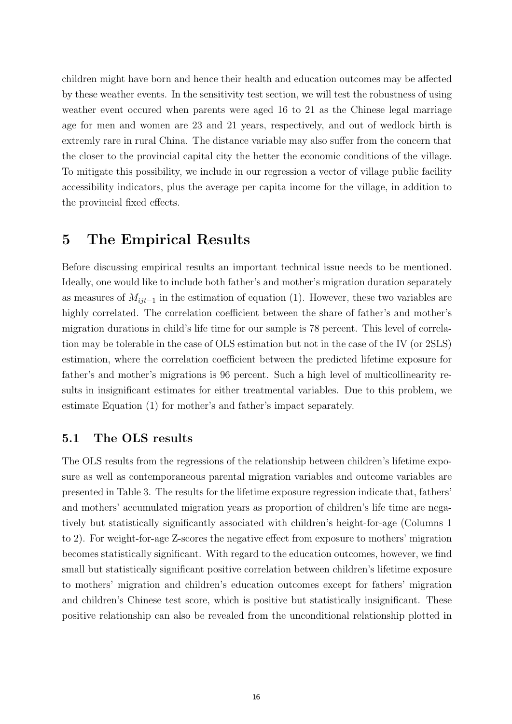children might have born and hence their health and education outcomes may be affected by these weather events. In the sensitivity test section, we will test the robustness of using weather event occured when parents were aged 16 to 21 as the Chinese legal marriage age for men and women are 23 and 21 years, respectively, and out of wedlock birth is extremly rare in rural China. The distance variable may also suffer from the concern that the closer to the provincial capital city the better the economic conditions of the village. To mitigate this possibility, we include in our regression a vector of village public facility accessibility indicators, plus the average per capita income for the village, in addition to the provincial fixed effects.

### 5 The Empirical Results

Before discussing empirical results an important technical issue needs to be mentioned. Ideally, one would like to include both father's and mother's migration duration separately as measures of  $M_{it-1}$  in the estimation of equation (1). However, these two variables are highly correlated. The correlation coefficient between the share of father's and mother's migration durations in child's life time for our sample is 78 percent. This level of correlation may be tolerable in the case of OLS estimation but not in the case of the IV (or 2SLS) estimation, where the correlation coefficient between the predicted lifetime exposure for father's and mother's migrations is 96 percent. Such a high level of multicollinearity results in insignificant estimates for either treatmental variables. Due to this problem, we estimate Equation (1) for mother's and father's impact separately.

#### 5.1 The OLS results

The OLS results from the regressions of the relationship between children's lifetime exposure as well as contemporaneous parental migration variables and outcome variables are presented in Table 3. The results for the lifetime exposure regression indicate that, fathers' and mothers' accumulated migration years as proportion of children's life time are negatively but statistically significantly associated with children's height-for-age (Columns 1 to 2). For weight-for-age Z-scores the negative effect from exposure to mothers' migration becomes statistically significant. With regard to the education outcomes, however, we find small but statistically significant positive correlation between children's lifetime exposure to mothers' migration and children's education outcomes except for fathers' migration and children's Chinese test score, which is positive but statistically insignificant. These positive relationship can also be revealed from the unconditional relationship plotted in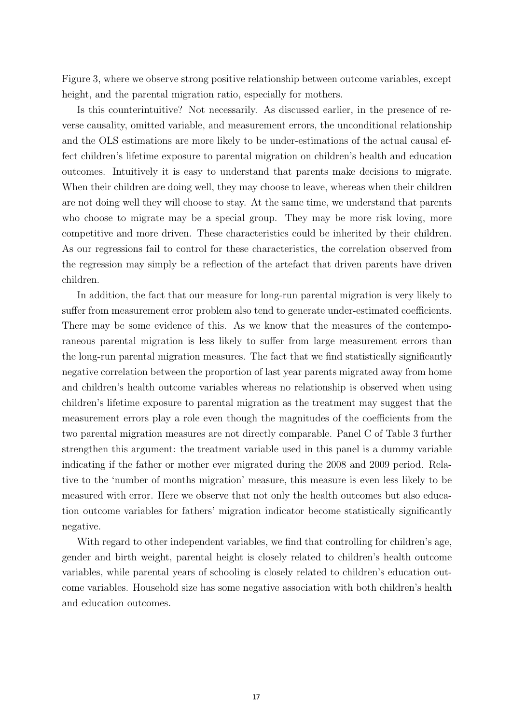Figure 3, where we observe strong positive relationship between outcome variables, except height, and the parental migration ratio, especially for mothers.

Is this counterintuitive? Not necessarily. As discussed earlier, in the presence of reverse causality, omitted variable, and measurement errors, the unconditional relationship and the OLS estimations are more likely to be under-estimations of the actual causal effect children's lifetime exposure to parental migration on children's health and education outcomes. Intuitively it is easy to understand that parents make decisions to migrate. When their children are doing well, they may choose to leave, whereas when their children are not doing well they will choose to stay. At the same time, we understand that parents who choose to migrate may be a special group. They may be more risk loving, more competitive and more driven. These characteristics could be inherited by their children. As our regressions fail to control for these characteristics, the correlation observed from the regression may simply be a reflection of the artefact that driven parents have driven children.

In addition, the fact that our measure for long-run parental migration is very likely to suffer from measurement error problem also tend to generate under-estimated coefficients. There may be some evidence of this. As we know that the measures of the contemporaneous parental migration is less likely to suffer from large measurement errors than the long-run parental migration measures. The fact that we find statistically significantly negative correlation between the proportion of last year parents migrated away from home and children's health outcome variables whereas no relationship is observed when using children's lifetime exposure to parental migration as the treatment may suggest that the measurement errors play a role even though the magnitudes of the coefficients from the two parental migration measures are not directly comparable. Panel C of Table 3 further strengthen this argument: the treatment variable used in this panel is a dummy variable indicating if the father or mother ever migrated during the 2008 and 2009 period. Relative to the 'number of months migration' measure, this measure is even less likely to be measured with error. Here we observe that not only the health outcomes but also education outcome variables for fathers' migration indicator become statistically significantly negative.

With regard to other independent variables, we find that controlling for children's age, gender and birth weight, parental height is closely related to children's health outcome variables, while parental years of schooling is closely related to children's education outcome variables. Household size has some negative association with both children's health and education outcomes.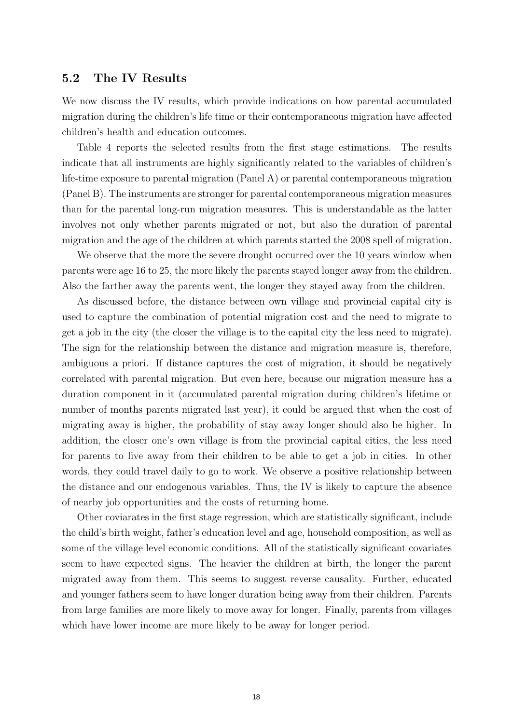#### 5.2 The IV Results

We now discuss the IV results, which provide indications on how parental accumulated migration during the children's life time or their contemporaneous migration have affected children's health and education outcomes.

Table 4 reports the selected results from the first stage estimations. The results indicate that all instruments are highly significantly related to the variables of children's life-time exposure to parental migration (Panel A) or parental contemporaneous migration (Panel B). The instruments are stronger for parental contemporaneous migration measures than for the parental long-run migration measures. This is understandable as the latter involves not only whether parents migrated or not, but also the duration of parental migration and the age of the children at which parents started the 2008 spell of migration.

We observe that the more the severe drought occurred over the 10 years window when parents were age 16 to 25, the more likely the parents stayed longer away from the children. Also the farther away the parents went, the longer they stayed away from the children.

As discussed before, the distance between own village and provincial capital city is used to capture the combination of potential migration cost and the need to migrate to get a job in the city (the closer the village is to the capital city the less need to migrate). The sign for the relationship between the distance and migration measure is, therefore, ambiguous a priori. If distance captures the cost of migration, it should be negatively correlated with parental migration. But even here, because our migration measure has a duration component in it (accumulated parental migration during children's lifetime or number of months parents migrated last year), it could be argued that when the cost of migrating away is higher, the probability of stay away longer should also be higher. In addition, the closer one's own village is from the provincial capital cities, the less need for parents to live away from their children to be able to get a job in cities. In other words, they could travel daily to go to work. We observe a positive relationship between the distance and our endogenous variables. Thus, the IV is likely to capture the absence of nearby job opportunities and the costs of returning home.

Other coviarates in the first stage regression, which are statistically significant, include the child's birth weight, father's education level and age, household composition, as well as some of the village level economic conditions. All of the statistically significant covariates seem to have expected signs. The heavier the children at birth, the longer the parent migrated away from them. This seems to suggest reverse causality. Further, educated and younger fathers seem to have longer duration being away from their children. Parents from large families are more likely to move away for longer. Finally, parents from villages which have lower income are more likely to be away for longer period.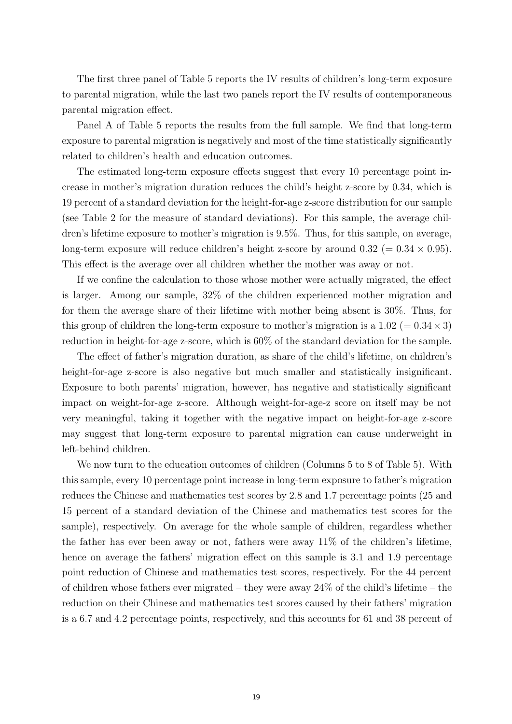The first three panel of Table 5 reports the IV results of children's long-term exposure to parental migration, while the last two panels report the IV results of contemporaneous parental migration effect.

Panel A of Table 5 reports the results from the full sample. We find that long-term exposure to parental migration is negatively and most of the time statistically significantly related to children's health and education outcomes.

The estimated long-term exposure effects suggest that every 10 percentage point increase in mother's migration duration reduces the child's height z-score by 0.34, which is 19 percent of a standard deviation for the height-for-age z-score distribution for our sample (see Table 2 for the measure of standard deviations). For this sample, the average children's lifetime exposure to mother's migration is 9.5%. Thus, for this sample, on average, long-term exposure will reduce children's height z-score by around  $0.32$  (=  $0.34 \times 0.95$ ). This effect is the average over all children whether the mother was away or not.

If we confine the calculation to those whose mother were actually migrated, the effect is larger. Among our sample, 32% of the children experienced mother migration and for them the average share of their lifetime with mother being absent is 30%. Thus, for this group of children the long-term exposure to mother's migration is a  $1.02 (= 0.34 \times 3)$ reduction in height-for-age z-score, which is 60% of the standard deviation for the sample.

The effect of father's migration duration, as share of the child's lifetime, on children's height-for-age z-score is also negative but much smaller and statistically insignificant. Exposure to both parents' migration, however, has negative and statistically significant impact on weight-for-age z-score. Although weight-for-age-z score on itself may be not very meaningful, taking it together with the negative impact on height-for-age z-score may suggest that long-term exposure to parental migration can cause underweight in left-behind children.

We now turn to the education outcomes of children (Columns 5 to 8 of Table 5). With this sample, every 10 percentage point increase in long-term exposure to father's migration reduces the Chinese and mathematics test scores by 2.8 and 1.7 percentage points (25 and 15 percent of a standard deviation of the Chinese and mathematics test scores for the sample), respectively. On average for the whole sample of children, regardless whether the father has ever been away or not, fathers were away  $11\%$  of the children's lifetime, hence on average the fathers' migration effect on this sample is 3.1 and 1.9 percentage point reduction of Chinese and mathematics test scores, respectively. For the 44 percent of children whose fathers ever migrated – they were away  $24\%$  of the child's lifetime – the reduction on their Chinese and mathematics test scores caused by their fathers' migration is a 6.7 and 4.2 percentage points, respectively, and this accounts for 61 and 38 percent of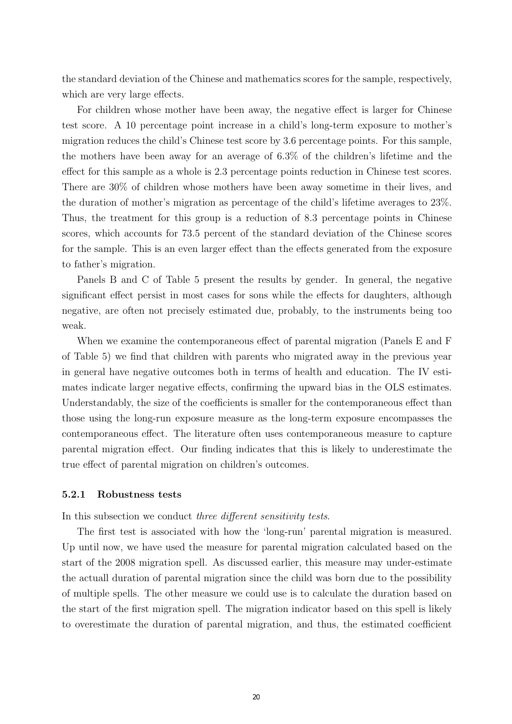the standard deviation of the Chinese and mathematics scores for the sample, respectively, which are very large effects.

For children whose mother have been away, the negative effect is larger for Chinese test score. A 10 percentage point increase in a child's long-term exposure to mother's migration reduces the child's Chinese test score by 3.6 percentage points. For this sample, the mothers have been away for an average of 6.3% of the children's lifetime and the effect for this sample as a whole is 2.3 percentage points reduction in Chinese test scores. There are 30% of children whose mothers have been away sometime in their lives, and the duration of mother's migration as percentage of the child's lifetime averages to 23%. Thus, the treatment for this group is a reduction of 8.3 percentage points in Chinese scores, which accounts for 73.5 percent of the standard deviation of the Chinese scores for the sample. This is an even larger effect than the effects generated from the exposure to father's migration.

Panels B and C of Table 5 present the results by gender. In general, the negative significant effect persist in most cases for sons while the effects for daughters, although negative, are often not precisely estimated due, probably, to the instruments being too weak.

When we examine the contemporaneous effect of parental migration (Panels E and F of Table 5) we find that children with parents who migrated away in the previous year in general have negative outcomes both in terms of health and education. The IV estimates indicate larger negative effects, confirming the upward bias in the OLS estimates. Understandably, the size of the coefficients is smaller for the contemporaneous effect than those using the long-run exposure measure as the long-term exposure encompasses the contemporaneous effect. The literature often uses contemporaneous measure to capture parental migration effect. Our finding indicates that this is likely to underestimate the true effect of parental migration on children's outcomes.

#### 5.2.1 Robustness tests

In this subsection we conduct three different sensitivity tests.

The first test is associated with how the 'long-run' parental migration is measured. Up until now, we have used the measure for parental migration calculated based on the start of the 2008 migration spell. As discussed earlier, this measure may under-estimate the actuall duration of parental migration since the child was born due to the possibility of multiple spells. The other measure we could use is to calculate the duration based on the start of the first migration spell. The migration indicator based on this spell is likely to overestimate the duration of parental migration, and thus, the estimated coefficient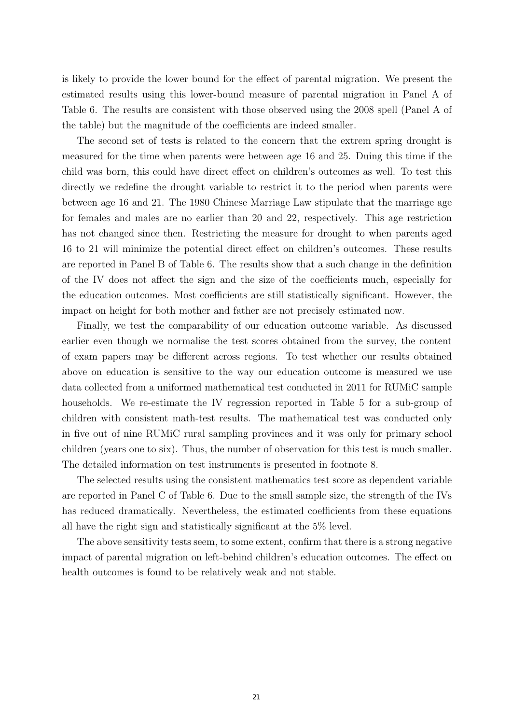is likely to provide the lower bound for the effect of parental migration. We present the estimated results using this lower-bound measure of parental migration in Panel A of Table 6. The results are consistent with those observed using the 2008 spell (Panel A of the table) but the magnitude of the coefficients are indeed smaller.

The second set of tests is related to the concern that the extrem spring drought is measured for the time when parents were between age 16 and 25. Duing this time if the child was born, this could have direct effect on children's outcomes as well. To test this directly we redefine the drought variable to restrict it to the period when parents were between age 16 and 21. The 1980 Chinese Marriage Law stipulate that the marriage age for females and males are no earlier than 20 and 22, respectively. This age restriction has not changed since then. Restricting the measure for drought to when parents aged 16 to 21 will minimize the potential direct effect on children's outcomes. These results are reported in Panel B of Table 6. The results show that a such change in the definition of the IV does not affect the sign and the size of the coefficients much, especially for the education outcomes. Most coefficients are still statistically significant. However, the impact on height for both mother and father are not precisely estimated now.

Finally, we test the comparability of our education outcome variable. As discussed earlier even though we normalise the test scores obtained from the survey, the content of exam papers may be different across regions. To test whether our results obtained above on education is sensitive to the way our education outcome is measured we use data collected from a uniformed mathematical test conducted in 2011 for RUMiC sample households. We re-estimate the IV regression reported in Table 5 for a sub-group of children with consistent math-test results. The mathematical test was conducted only in five out of nine RUMiC rural sampling provinces and it was only for primary school children (years one to six). Thus, the number of observation for this test is much smaller. The detailed information on test instruments is presented in footnote 8.

The selected results using the consistent mathematics test score as dependent variable are reported in Panel C of Table 6. Due to the small sample size, the strength of the IVs has reduced dramatically. Nevertheless, the estimated coefficients from these equations all have the right sign and statistically significant at the 5% level.

The above sensitivity tests seem, to some extent, confirm that there is a strong negative impact of parental migration on left-behind children's education outcomes. The effect on health outcomes is found to be relatively weak and not stable.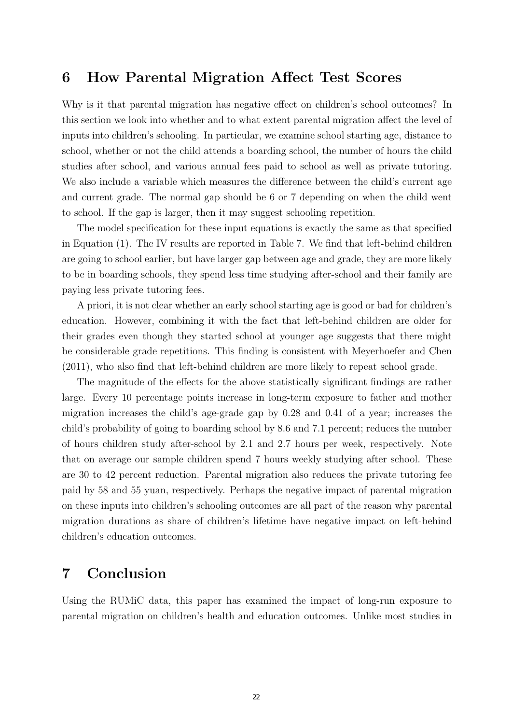# 6 How Parental Migration Affect Test Scores

Why is it that parental migration has negative effect on children's school outcomes? In this section we look into whether and to what extent parental migration affect the level of inputs into children's schooling. In particular, we examine school starting age, distance to school, whether or not the child attends a boarding school, the number of hours the child studies after school, and various annual fees paid to school as well as private tutoring. We also include a variable which measures the difference between the child's current age and current grade. The normal gap should be 6 or 7 depending on when the child went to school. If the gap is larger, then it may suggest schooling repetition.

The model specification for these input equations is exactly the same as that specified in Equation (1). The IV results are reported in Table 7. We find that left-behind children are going to school earlier, but have larger gap between age and grade, they are more likely to be in boarding schools, they spend less time studying after-school and their family are paying less private tutoring fees.

A priori, it is not clear whether an early school starting age is good or bad for children's education. However, combining it with the fact that left-behind children are older for their grades even though they started school at younger age suggests that there might be considerable grade repetitions. This finding is consistent with Meyerhoefer and Chen (2011), who also find that left-behind children are more likely to repeat school grade.

The magnitude of the effects for the above statistically significant findings are rather large. Every 10 percentage points increase in long-term exposure to father and mother migration increases the child's age-grade gap by 0.28 and 0.41 of a year; increases the child's probability of going to boarding school by 8.6 and 7.1 percent; reduces the number of hours children study after-school by 2.1 and 2.7 hours per week, respectively. Note that on average our sample children spend 7 hours weekly studying after school. These are 30 to 42 percent reduction. Parental migration also reduces the private tutoring fee paid by 58 and 55 yuan, respectively. Perhaps the negative impact of parental migration on these inputs into children's schooling outcomes are all part of the reason why parental migration durations as share of children's lifetime have negative impact on left-behind children's education outcomes.

# 7 Conclusion

Using the RUMiC data, this paper has examined the impact of long-run exposure to parental migration on children's health and education outcomes. Unlike most studies in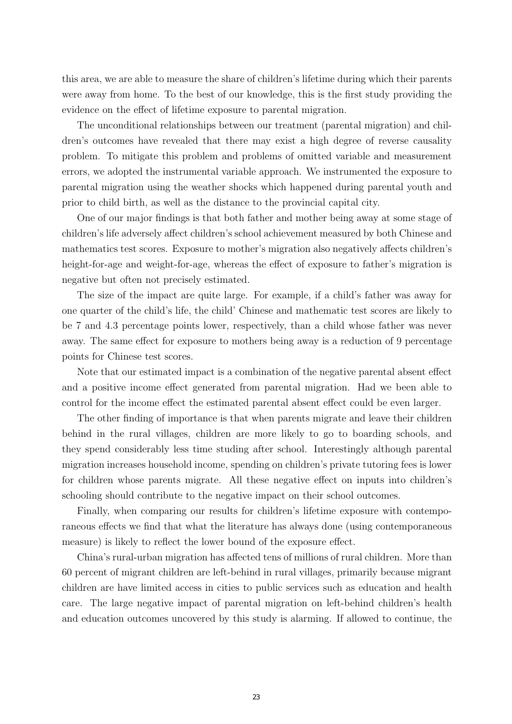this area, we are able to measure the share of children's lifetime during which their parents were away from home. To the best of our knowledge, this is the first study providing the evidence on the effect of lifetime exposure to parental migration.

The unconditional relationships between our treatment (parental migration) and children's outcomes have revealed that there may exist a high degree of reverse causality problem. To mitigate this problem and problems of omitted variable and measurement errors, we adopted the instrumental variable approach. We instrumented the exposure to parental migration using the weather shocks which happened during parental youth and prior to child birth, as well as the distance to the provincial capital city.

One of our major findings is that both father and mother being away at some stage of children's life adversely affect children's school achievement measured by both Chinese and mathematics test scores. Exposure to mother's migration also negatively affects children's height-for-age and weight-for-age, whereas the effect of exposure to father's migration is negative but often not precisely estimated.

The size of the impact are quite large. For example, if a child's father was away for one quarter of the child's life, the child' Chinese and mathematic test scores are likely to be 7 and 4.3 percentage points lower, respectively, than a child whose father was never away. The same effect for exposure to mothers being away is a reduction of 9 percentage points for Chinese test scores.

Note that our estimated impact is a combination of the negative parental absent effect and a positive income effect generated from parental migration. Had we been able to control for the income effect the estimated parental absent effect could be even larger.

The other finding of importance is that when parents migrate and leave their children behind in the rural villages, children are more likely to go to boarding schools, and they spend considerably less time studing after school. Interestingly although parental migration increases household income, spending on children's private tutoring fees is lower for children whose parents migrate. All these negative effect on inputs into children's schooling should contribute to the negative impact on their school outcomes.

Finally, when comparing our results for children's lifetime exposure with contemporaneous effects we find that what the literature has always done (using contemporaneous measure) is likely to reflect the lower bound of the exposure effect.

China's rural-urban migration has affected tens of millions of rural children. More than 60 percent of migrant children are left-behind in rural villages, primarily because migrant children are have limited access in cities to public services such as education and health care. The large negative impact of parental migration on left-behind children's health and education outcomes uncovered by this study is alarming. If allowed to continue, the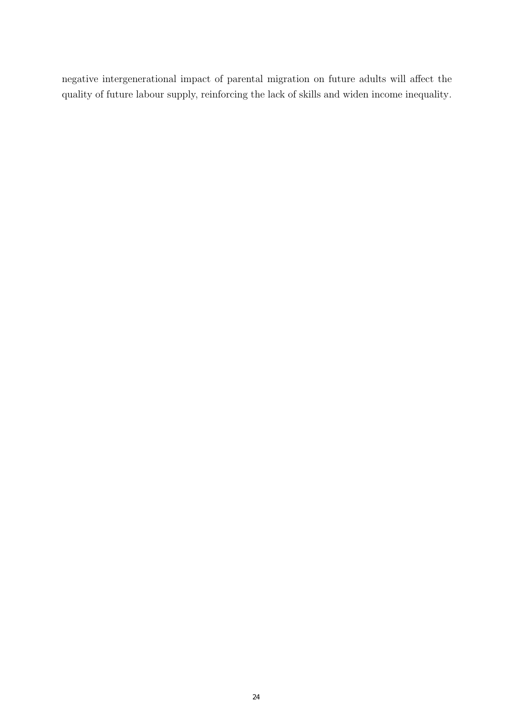negative intergenerational impact of parental migration on future adults will affect the quality of future labour supply, reinforcing the lack of skills and widen income inequality.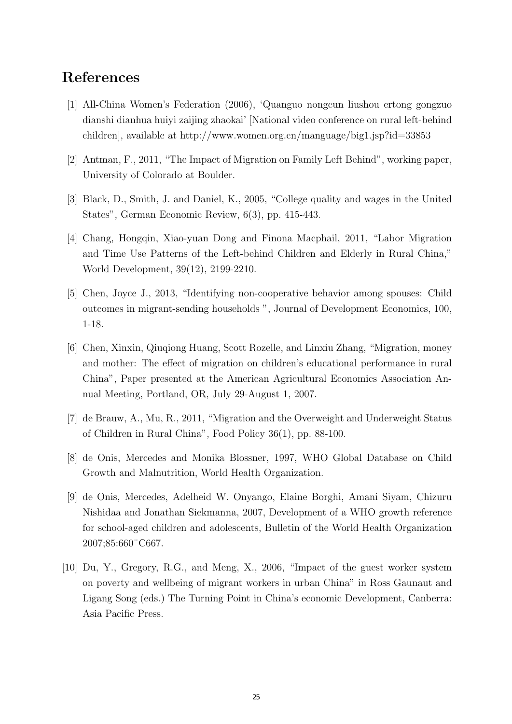# References

- [1] All-China Women's Federation (2006), 'Quanguo nongcun liushou ertong gongzuo dianshi dianhua huiyi zaijing zhaokai' [National video conference on rural left-behind children], available at http://www.women.org.cn/manguage/big1.jsp?id=33853
- [2] Antman, F., 2011, "The Impact of Migration on Family Left Behind", working paper, University of Colorado at Boulder.
- [3] Black, D., Smith, J. and Daniel, K., 2005, "College quality and wages in the United States", German Economic Review, 6(3), pp. 415-443.
- [4] Chang, Hongqin, Xiao-yuan Dong and Finona Macphail, 2011, "Labor Migration and Time Use Patterns of the Left-behind Children and Elderly in Rural China," World Development, 39(12), 2199-2210.
- [5] Chen, Joyce J., 2013, "Identifying non-cooperative behavior among spouses: Child outcomes in migrant-sending households ", Journal of Development Economics, 100, 1-18.
- [6] Chen, Xinxin, Qiuqiong Huang, Scott Rozelle, and Linxiu Zhang, "Migration, money and mother: The effect of migration on children's educational performance in rural China", Paper presented at the American Agricultural Economics Association Annual Meeting, Portland, OR, July 29-August 1, 2007.
- [7] de Brauw, A., Mu, R., 2011, "Migration and the Overweight and Underweight Status of Children in Rural China", Food Policy 36(1), pp. 88-100.
- [8] de Onis, Mercedes and Monika Blossner, 1997, WHO Global Database on Child Growth and Malnutrition, World Health Organization.
- [9] de Onis, Mercedes, Adelheid W. Onyango, Elaine Borghi, Amani Siyam, Chizuru Nishidaa and Jonathan Siekmanna, 2007, Development of a WHO growth reference for school-aged children and adolescents, Bulletin of the World Health Organization 2007;85:660¨C667.
- [10] Du, Y., Gregory, R.G., and Meng, X., 2006, "Impact of the guest worker system on poverty and wellbeing of migrant workers in urban China" in Ross Gaunaut and Ligang Song (eds.) The Turning Point in China's economic Development, Canberra: Asia Pacific Press.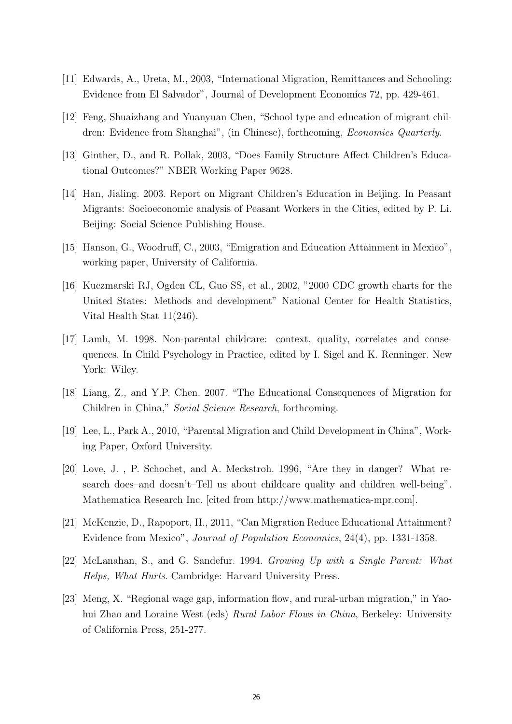- [11] Edwards, A., Ureta, M., 2003, "International Migration, Remittances and Schooling: Evidence from El Salvador", Journal of Development Economics 72, pp. 429-461.
- [12] Feng, Shuaizhang and Yuanyuan Chen, "School type and education of migrant children: Evidence from Shanghai", (in Chinese), forthcoming, Economics Quarterly.
- [13] Ginther, D., and R. Pollak, 2003, "Does Family Structure Affect Children's Educational Outcomes?" NBER Working Paper 9628.
- [14] Han, Jialing. 2003. Report on Migrant Children's Education in Beijing. In Peasant Migrants: Socioeconomic analysis of Peasant Workers in the Cities, edited by P. Li. Beijing: Social Science Publishing House.
- [15] Hanson, G., Woodruff, C., 2003, "Emigration and Education Attainment in Mexico", working paper, University of California.
- [16] Kuczmarski RJ, Ogden CL, Guo SS, et al., 2002, "2000 CDC growth charts for the United States: Methods and development" National Center for Health Statistics, Vital Health Stat 11(246).
- [17] Lamb, M. 1998. Non-parental childcare: context, quality, correlates and consequences. In Child Psychology in Practice, edited by I. Sigel and K. Renninger. New York: Wiley.
- [18] Liang, Z., and Y.P. Chen. 2007. "The Educational Consequences of Migration for Children in China," Social Science Research, forthcoming.
- [19] Lee, L., Park A., 2010, "Parental Migration and Child Development in China", Working Paper, Oxford University.
- [20] Love, J. , P. Schochet, and A. Meckstroh. 1996, "Are they in danger? What research does–and doesn't–Tell us about childcare quality and children well-being". Mathematica Research Inc. [cited from http://www.mathematica-mpr.com].
- [21] McKenzie, D., Rapoport, H., 2011, "Can Migration Reduce Educational Attainment? Evidence from Mexico", Journal of Population Economics, 24(4), pp. 1331-1358.
- [22] McLanahan, S., and G. Sandefur. 1994. Growing Up with a Single Parent: What Helps, What Hurts. Cambridge: Harvard University Press.
- [23] Meng, X. "Regional wage gap, information flow, and rural-urban migration," in Yaohui Zhao and Loraine West (eds) Rural Labor Flows in China, Berkeley: University of California Press, 251-277.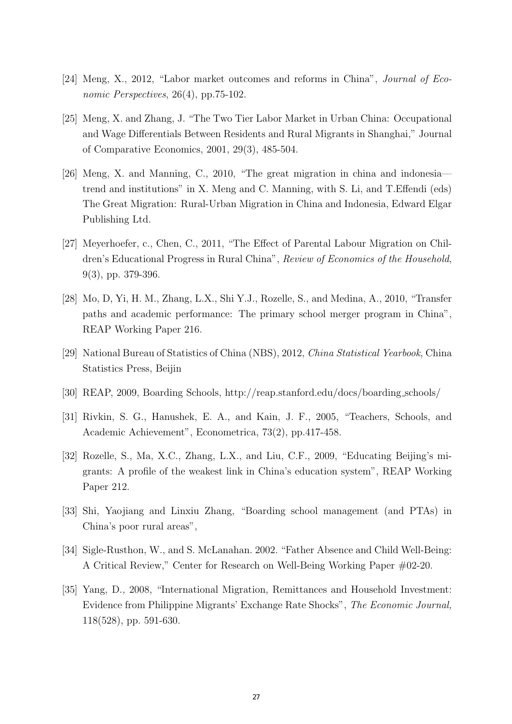- [24] Meng, X., 2012, "Labor market outcomes and reforms in China", Journal of Economic Perspectives, 26(4), pp.75-102.
- [25] Meng, X. and Zhang, J. "The Two Tier Labor Market in Urban China: Occupational and Wage Differentials Between Residents and Rural Migrants in Shanghai," Journal of Comparative Economics, 2001, 29(3), 485-504.
- [26] Meng, X. and Manning, C., 2010, "The great migration in china and indonesia trend and institutions" in X. Meng and C. Manning, with S. Li, and T.Effendi (eds) The Great Migration: Rural-Urban Migration in China and Indonesia, Edward Elgar Publishing Ltd.
- [27] Meyerhoefer, c., Chen, C., 2011, "The Effect of Parental Labour Migration on Children's Educational Progress in Rural China", Review of Economics of the Household, 9(3), pp. 379-396.
- [28] Mo, D, Yi, H. M., Zhang, L.X., Shi Y.J., Rozelle, S., and Medina, A., 2010, "Transfer paths and academic performance: The primary school merger program in China", REAP Working Paper 216.
- [29] National Bureau of Statistics of China (NBS), 2012, China Statistical Yearbook, China Statistics Press, Beijin
- [30] REAP, 2009, Boarding Schools, http://reap.stanford.edu/docs/boarding schools/
- [31] Rivkin, S. G., Hanushek, E. A., and Kain, J. F., 2005, "Teachers, Schools, and Academic Achievement", Econometrica, 73(2), pp.417-458.
- [32] Rozelle, S., Ma, X.C., Zhang, L.X., and Liu, C.F., 2009, "Educating Beijing's migrants: A profile of the weakest link in China's education system", REAP Working Paper 212.
- [33] Shi, Yaojiang and Linxiu Zhang, "Boarding school management (and PTAs) in China's poor rural areas",
- [34] Sigle-Rusthon, W., and S. McLanahan. 2002. "Father Absence and Child Well-Being: A Critical Review," Center for Research on Well-Being Working Paper #02-20.
- [35] Yang, D., 2008, "International Migration, Remittances and Household Investment: Evidence from Philippine Migrants' Exchange Rate Shocks", The Economic Journal, 118(528), pp. 591-630.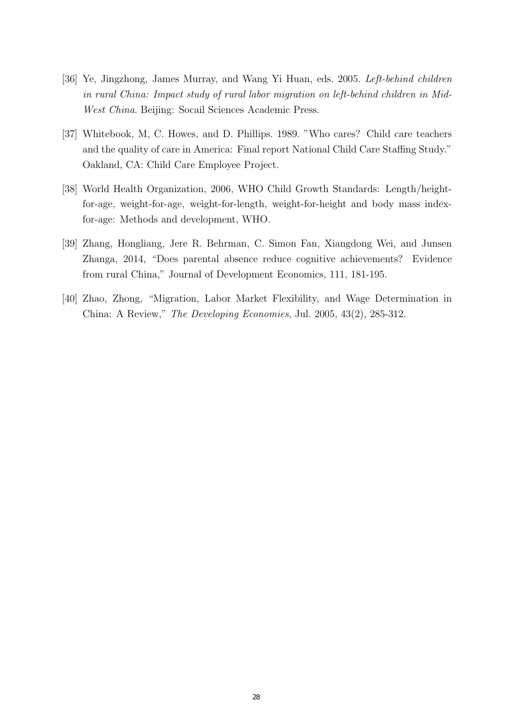- [36] Ye, Jingzhong, James Murray, and Wang Yi Huan, eds. 2005. Left-behind children in rural China: Impact study of rural labor migration on left-behind children in Mid-West China. Beijing: Socail Sciences Academic Press.
- [37] Whitebook, M, C. Howes, and D. Phillips. 1989. "Who cares? Child care teachers and the quality of care in America: Final report National Child Care Staffing Study." Oakland, CA: Child Care Employee Project.
- [38] World Health Organization, 2006, WHO Child Growth Standards: Length/heightfor-age, weight-for-age, weight-for-length, weight-for-height and body mass indexfor-age: Methods and development, WHO.
- [39] Zhang, Hongliang, Jere R. Behrman, C. Simon Fan, Xiangdong Wei, and Junsen Zhanga, 2014, "Does parental absence reduce cognitive achievements? Evidence from rural China," Journal of Development Economics, 111, 181-195.
- [40] Zhao, Zhong, "Migration, Labor Market Flexibility, and Wage Determination in China: A Review," The Developing Economies, Jul. 2005, 43(2), 285-312.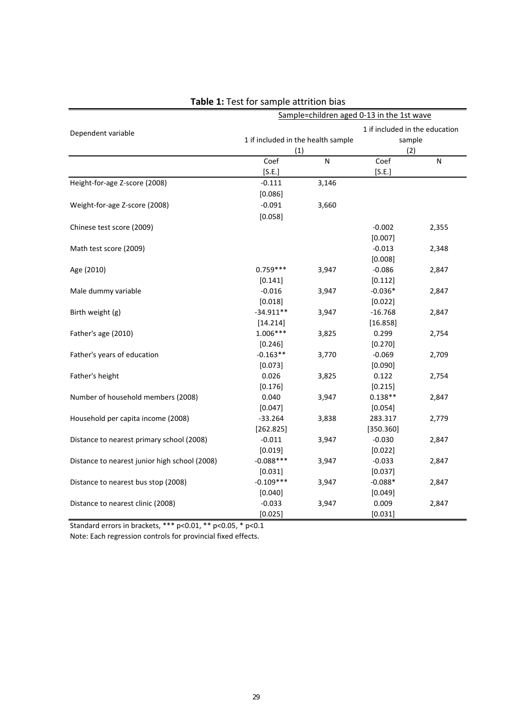| Sample=children aged 0-13 in the 1st wave     |                                    |       |                                |       |  |  |  |
|-----------------------------------------------|------------------------------------|-------|--------------------------------|-------|--|--|--|
| Dependent variable                            |                                    |       | 1 if included in the education |       |  |  |  |
|                                               | 1 if included in the health sample |       | sample                         |       |  |  |  |
|                                               | (1)                                |       | (2)                            |       |  |  |  |
|                                               | Coef                               | N     | Coef                           | N     |  |  |  |
|                                               | [S.E.]                             |       | [S.E.]                         |       |  |  |  |
| Height-for-age Z-score (2008)                 | $-0.111$                           | 3,146 |                                |       |  |  |  |
|                                               | [0.086]                            |       |                                |       |  |  |  |
| Weight-for-age Z-score (2008)                 | $-0.091$                           | 3,660 |                                |       |  |  |  |
|                                               | [0.058]                            |       |                                |       |  |  |  |
| Chinese test score (2009)                     |                                    |       | $-0.002$                       | 2,355 |  |  |  |
|                                               |                                    |       | [0.007]                        |       |  |  |  |
| Math test score (2009)                        |                                    |       | $-0.013$                       | 2,348 |  |  |  |
|                                               |                                    |       | [0.008]                        |       |  |  |  |
| Age (2010)                                    | $0.759***$                         | 3,947 | $-0.086$                       | 2,847 |  |  |  |
|                                               | [0.141]                            |       | [0.112]                        |       |  |  |  |
| Male dummy variable                           | $-0.016$                           | 3,947 | $-0.036*$                      | 2,847 |  |  |  |
|                                               | [0.018]                            |       | [0.022]                        |       |  |  |  |
| Birth weight (g)                              | $-34.911**$                        | 3,947 | $-16.768$                      | 2,847 |  |  |  |
|                                               | [14.214]                           |       | [16.858]                       |       |  |  |  |
| Father's age (2010)                           | $1.006***$                         | 3,825 | 0.299                          | 2,754 |  |  |  |
|                                               | [0.246]                            |       | [0.270]                        |       |  |  |  |
| Father's years of education                   | $-0.163**$                         | 3,770 | $-0.069$                       | 2,709 |  |  |  |
|                                               | [0.073]                            |       | [0.090]                        |       |  |  |  |
| Father's height                               | 0.026                              | 3,825 | 0.122                          | 2,754 |  |  |  |
|                                               | [0.176]                            |       | [0.215]                        |       |  |  |  |
| Number of household members (2008)            | 0.040                              | 3,947 | $0.138**$                      | 2,847 |  |  |  |
|                                               | [0.047]                            |       | [0.054]                        |       |  |  |  |
| Household per capita income (2008)            | $-33.264$                          | 3,838 | 283.317                        | 2,779 |  |  |  |
|                                               | [262.825]                          |       | [350.360]                      |       |  |  |  |
| Distance to nearest primary school (2008)     | $-0.011$                           | 3,947 | $-0.030$                       | 2,847 |  |  |  |
|                                               | [0.019]                            |       | [0.022]                        |       |  |  |  |
| Distance to nearest junior high school (2008) | $-0.088***$                        | 3,947 | $-0.033$                       | 2,847 |  |  |  |
|                                               | [0.031]                            |       | [0.037]                        |       |  |  |  |
| Distance to nearest bus stop (2008)           | $-0.109***$                        | 3,947 | $-0.088*$                      | 2,847 |  |  |  |
|                                               | [0.040]                            |       | [0.049]                        |       |  |  |  |
| Distance to nearest clinic (2008)             | $-0.033$                           | 3,947 | 0.009                          | 2,847 |  |  |  |
|                                               | [0.025]                            |       | [0.031]                        |       |  |  |  |

### **Table 1:** Test for sample attrition bias

Standard errors in brackets, \*\*\* p<0.01, \*\* p<0.05, \* p<0.1

Note: Each regression controls for provincial fixed effects.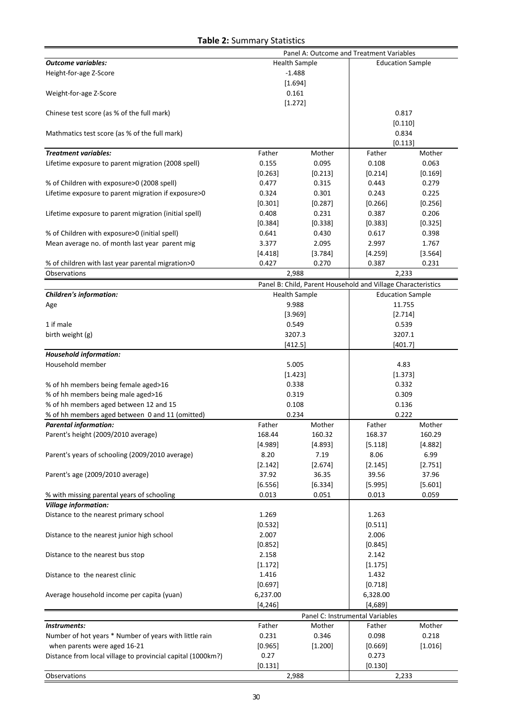#### **Table 2:** Summary Statistics

|                                                             | Panel A: Outcome and Treatment Variables |                                                              |                                 |         |  |
|-------------------------------------------------------------|------------------------------------------|--------------------------------------------------------------|---------------------------------|---------|--|
| <b>Outcome variables:</b>                                   |                                          | <b>Health Sample</b>                                         | <b>Education Sample</b>         |         |  |
| Height-for-age Z-Score                                      |                                          | $-1.488$                                                     |                                 |         |  |
|                                                             |                                          | [1.694]                                                      |                                 |         |  |
| Weight-for-age Z-Score                                      |                                          | 0.161                                                        |                                 |         |  |
|                                                             |                                          | [1.272]                                                      |                                 |         |  |
| Chinese test score (as % of the full mark)                  |                                          |                                                              | 0.817                           |         |  |
|                                                             |                                          |                                                              | [0.110]                         |         |  |
| Mathmatics test score (as % of the full mark)               |                                          |                                                              | 0.834                           |         |  |
|                                                             |                                          |                                                              | [0.113]                         |         |  |
| <b>Treatment variables:</b>                                 | Father                                   | Mother                                                       | Father                          | Mother  |  |
| Lifetime exposure to parent migration (2008 spell)          | 0.155                                    | 0.095                                                        | 0.108                           | 0.063   |  |
|                                                             | [0.263]                                  | [0.213]                                                      | [0.214]                         | [0.169] |  |
| % of Children with exposure>0 (2008 spell)                  | 0.477                                    | 0.315                                                        | 0.443                           | 0.279   |  |
| Lifetime exposure to parent migration if exposure>0         | 0.324                                    | 0.301                                                        | 0.243                           | 0.225   |  |
|                                                             | [0.301]                                  | [0.287]                                                      | [0.266]                         | [0.256] |  |
| Lifetime exposure to parent migration (initial spell)       | 0.408                                    | 0.231                                                        | 0.387                           | 0.206   |  |
|                                                             | [0.384]                                  | [0.338]                                                      | [0.383]                         | [0.325] |  |
| % of Children with exposure>0 (initial spell)               | 0.641                                    | 0.430                                                        | 0.617                           | 0.398   |  |
| Mean average no. of month last year parent mig              | 3.377                                    | 2.095                                                        | 2.997                           | 1.767   |  |
|                                                             | [4.418]                                  | [3.784]                                                      | [4.259]                         | [3.564] |  |
| % of children with last year parental migration>0           | 0.427                                    | 0.270                                                        | 0.387                           | 0.231   |  |
| Observations                                                |                                          | 2,988                                                        | 2,233                           |         |  |
|                                                             |                                          | Panel B: Child, Parent Household and Village Characteristics |                                 |         |  |
| <b>Children's information:</b>                              |                                          | <b>Health Sample</b>                                         | <b>Education Sample</b>         |         |  |
| Age                                                         |                                          | 9.988                                                        | 11.755                          |         |  |
|                                                             |                                          | [3.969]                                                      | [2.714]                         |         |  |
| 1 if male                                                   |                                          | 0.549                                                        | 0.539<br>3207.1                 |         |  |
| birth weight (g)                                            | 3207.3<br>[412.5]                        |                                                              | [401.7]                         |         |  |
| <b>Household information:</b>                               |                                          |                                                              |                                 |         |  |
| Household member                                            |                                          | 5.005                                                        | 4.83                            |         |  |
|                                                             |                                          | [1.423]                                                      | [1.373]                         |         |  |
| % of hh members being female aged>16                        |                                          | 0.338                                                        | 0.332                           |         |  |
| % of hh members being male aged>16                          |                                          | 0.319                                                        | 0.309                           |         |  |
| % of hh members aged between 12 and 15                      |                                          | 0.108                                                        |                                 | 0.136   |  |
| % of hh members aged between 0 and 11 (omitted)             |                                          | 0.234                                                        | 0.222                           |         |  |
| <b>Parental information:</b>                                | Father                                   | Mother                                                       | Father                          | Mother  |  |
| Parent's height (2009/2010 average)                         | 168.44                                   | 160.32                                                       | 168.37                          | 160.29  |  |
|                                                             | [4.989]                                  | [4.893]                                                      | [5.118]                         | [4.882] |  |
| Parent's years of schooling (2009/2010 average)             | 8.20                                     | 7.19                                                         | 8.06                            | 6.99    |  |
|                                                             | [2.142]                                  | [2.674]                                                      | [2.145]                         | [2.751] |  |
| Parent's age (2009/2010 average)                            | 37.92                                    | 36.35                                                        | 39.56                           | 37.96   |  |
|                                                             | [6.556]                                  | [6.334]                                                      | [5.995]                         | [5.601] |  |
| % with missing parental years of schooling                  | 0.013                                    | 0.051                                                        | 0.013                           | 0.059   |  |
| <b>Village information:</b>                                 |                                          |                                                              |                                 |         |  |
| Distance to the nearest primary school                      | 1.269                                    |                                                              | 1.263                           |         |  |
|                                                             | [0.532]                                  |                                                              | [0.511]                         |         |  |
| Distance to the nearest junior high school                  | 2.007                                    |                                                              | 2.006                           |         |  |
|                                                             | [0.852]                                  |                                                              | [0.845]                         |         |  |
| Distance to the nearest bus stop                            | 2.158                                    |                                                              | 2.142                           |         |  |
|                                                             | [1.172]                                  |                                                              | [1.175]                         |         |  |
| Distance to the nearest clinic                              | 1.416                                    |                                                              | 1.432                           |         |  |
|                                                             | [0.697]                                  |                                                              | [0.718]                         |         |  |
| Average household income per capita (yuan)                  | 6,237.00<br>6,328.00                     |                                                              |                                 |         |  |
|                                                             | [4, 246]                                 |                                                              | [4,689]                         |         |  |
|                                                             |                                          |                                                              | Panel C: Instrumental Variables |         |  |
| Instruments:                                                | Father                                   | Mother                                                       | Father                          | Mother  |  |
| Number of hot years * Number of years with little rain      | 0.231                                    | 0.346                                                        | 0.098                           | 0.218   |  |
| when parents were aged 16-21                                | [0.965]                                  | [1.200]                                                      | [0.669]                         | [1.016] |  |
| Distance from local village to provincial capital (1000km?) | 0.27                                     |                                                              | 0.273                           |         |  |
|                                                             | [0.131]                                  |                                                              | [0.130]                         |         |  |
| Observations                                                |                                          | 2,988                                                        | 2,233                           |         |  |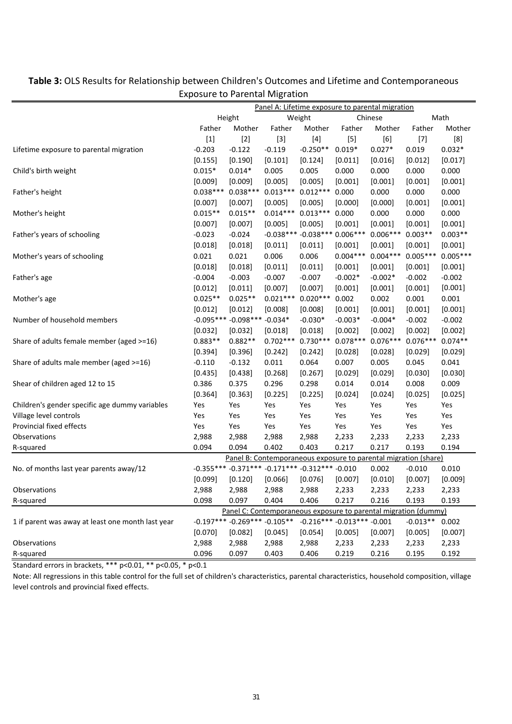|                                                   |                  |                                    | . <del>.</del>      |                                                          |                                                                    |                                                                 |            |            |
|---------------------------------------------------|------------------|------------------------------------|---------------------|----------------------------------------------------------|--------------------------------------------------------------------|-----------------------------------------------------------------|------------|------------|
|                                                   | Height           |                                    | Weight              |                                                          | <u>Panel A: Lifetime exposure to parental migration</u><br>Chinese |                                                                 |            | Math       |
|                                                   | Father<br>Mother |                                    |                     | Father<br>Mother                                         |                                                                    | Mother                                                          | Father     | Mother     |
|                                                   | $[1]$            | $[2]$                              | $[3]$               | $[4]$                                                    | Father<br>$[5]$                                                    | [6]                                                             | $[7]$      | [8]        |
| Lifetime exposure to parental migration           | $-0.203$         | $-0.122$                           | $-0.119$            | $-0.250**$                                               | $0.019*$                                                           | $0.027*$                                                        | 0.019      | $0.032*$   |
|                                                   | [0.155]          | [0.190]                            | [0.101]             | [0.124]                                                  | [0.011]                                                            | [0.016]                                                         | [0.012]    | [0.017]    |
| Child's birth weight                              | $0.015*$         | $0.014*$                           | 0.005               | 0.005                                                    | 0.000                                                              | 0.000                                                           | 0.000      | 0.000      |
|                                                   | [0.009]          | [0.009]                            | [0.005]             | [0.005]                                                  | [0.001]                                                            | [0.001]                                                         | [0.001]    | [0.001]    |
| Father's height                                   | $0.038***$       | $0.038***$                         | $0.013***$          | $0.012***$                                               | 0.000                                                              | 0.000                                                           | 0.000      | 0.000      |
|                                                   | [0.007]          | [0.007]                            | [0.005]             | [0.005]                                                  | [0.000]                                                            | [0.000]                                                         | [0.001]    | [0.001]    |
| Mother's height                                   | $0.015**$        | $0.015**$                          | $0.014***$ 0.013*** |                                                          | 0.000                                                              | 0.000                                                           | 0.000      | 0.000      |
|                                                   | [0.007]          | [0.007]                            | [0.005]             | [0.005]                                                  | [0.001]                                                            | [0.001]                                                         | [0.001]    | [0.001]    |
| Father's years of schooling                       | $-0.023$         | $-0.024$                           |                     | $-0.038***$ $-0.038***$ 0.006 ***                        |                                                                    | $0.006***0.003**$                                               |            | $0.003**$  |
|                                                   | [0.018]          | [0.018]                            | [0.011]             | [0.011]                                                  | [0.001]                                                            | [0.001]                                                         | [0.001]    | [0.001]    |
| Mother's years of schooling                       | 0.021            | 0.021                              | 0.006               | 0.006                                                    | $0.004***$                                                         | $0.004***0.005***$                                              |            | $0.005***$ |
|                                                   | [0.018]          | [0.018]                            | [0.011]             | [0.011]                                                  | [0.001]                                                            | [0.001]                                                         | [0.001]    | [0.001]    |
| Father's age                                      | $-0.004$         | $-0.003$                           | $-0.007$            | $-0.007$                                                 | $-0.002*$                                                          | $-0.002*$                                                       | $-0.002$   | $-0.002$   |
|                                                   | [0.012]          | [0.011]                            | [0.007]             | [0.007]                                                  | [0.001]                                                            | [0.001]                                                         | [0.001]    | [0.001]    |
| Mother's age                                      | $0.025**$        | $0.025**$                          | $0.021***$          | $0.020***$                                               | 0.002                                                              | 0.002                                                           | 0.001      | 0.001      |
|                                                   | [0.012]          | [0.012]                            | [0.008]             | [0.008]                                                  | [0.001]                                                            | [0.001]                                                         | [0.001]    | [0.001]    |
| Number of household members                       |                  | $-0.095***-0.098***-0.034*$        |                     | $-0.030*$                                                | $-0.003*$                                                          | $-0.004*$                                                       | $-0.002$   | $-0.002$   |
|                                                   | [0.032]          | [0.032]                            | [0.018]             | [0.018]                                                  | [0.002]                                                            | [0.002]                                                         | [0.002]    | [0.002]    |
| Share of adults female member (aged >=16)         | $0.883**$        | $0.882**$                          | $0.702***$          | $0.730***$                                               | $0.078***$                                                         | $0.076***$                                                      | $0.076***$ | $0.074**$  |
|                                                   | [0.394]          | [0.396]                            | [0.242]             | [0.242]                                                  | [0.028]                                                            | [0.028]                                                         | [0.029]    | [0.029]    |
| Share of adults male member (aged >=16)           | $-0.110$         | $-0.132$                           | 0.011               | 0.064                                                    | 0.007                                                              | 0.005                                                           | 0.045      | 0.041      |
|                                                   | [0.435]          | [0.438]                            | [0.268]             | [0.267]                                                  | [0.029]                                                            | [0.029]                                                         | [0.030]    | [0.030]    |
| Shear of children aged 12 to 15                   | 0.386            | 0.375                              | 0.296               | 0.298                                                    | 0.014                                                              | 0.014                                                           | 0.008      | 0.009      |
|                                                   | [0.364]          | [0.363]                            | [0.225]             | [0.225]                                                  | [0.024]                                                            | [0.024]                                                         | [0.025]    | [0.025]    |
| Children's gender specific age dummy variables    | Yes              | Yes                                | Yes                 | Yes                                                      | Yes                                                                | Yes                                                             | Yes        | Yes        |
| Village level controls                            | Yes              | Yes                                | Yes                 | Yes                                                      | Yes                                                                | Yes                                                             | Yes        | Yes        |
| Provincial fixed effects                          | Yes              | Yes                                | Yes                 | Yes                                                      | Yes                                                                | Yes                                                             | Yes        | Yes        |
| Observations                                      | 2,988            | 2,988                              | 2,988               | 2,988                                                    | 2,233                                                              | 2,233                                                           | 2,233      | 2,233      |
| R-squared                                         | 0.094            | 0.094                              | 0.402               | 0.403                                                    | 0.217                                                              | 0.217                                                           | 0.193      | 0.194      |
|                                                   |                  |                                    |                     |                                                          |                                                                    | Panel B: Contemporaneous exposure to parental migration (share) |            |            |
| No. of months last year parents away/12           |                  |                                    |                     | $-0.355***$ $-0.371***$ $-0.171***$ $-0.312***$ $-0.010$ |                                                                    | 0.002                                                           | $-0.010$   | 0.010      |
|                                                   | [0.099]          | [0.120]                            | [0.066]             | [0.076]                                                  | [0.007]                                                            | [0.010]                                                         | [0.007]    | [0.009]    |
| Observations                                      | 2,988            | 2,988                              | 2,988               | 2,988                                                    | 2,233                                                              | 2,233                                                           | 2,233      | 2,233      |
| R-squared                                         | 0.098            | 0.097                              | 0.404               | 0.406                                                    | 0.217                                                              | 0.216                                                           | 0.193      | 0.193      |
|                                                   |                  |                                    |                     |                                                          |                                                                    | Panel C: Contemporaneous exposure to parental migration (dummy) |            |            |
| 1 if parent was away at least one month last year |                  | $-0.197***$ $-0.269***$ $-0.105**$ |                     | $-0.216*** -0.013*** -0.001$                             |                                                                    |                                                                 | $-0.013**$ | 0.002      |
|                                                   | [0.070]          | [0.082]                            | [0.045]             | [0.054]                                                  | [0.005]                                                            | [0.007]                                                         | [0.005]    | [0.007]    |
| Observations                                      | 2,988            | 2,988                              | 2,988               | 2,988                                                    | 2,233                                                              | 2,233                                                           | 2,233      | 2,233      |
| R-squared                                         | 0.096            | 0.097                              | 0.403               | 0.406                                                    | 0.219                                                              | 0.216                                                           | 0.195      | 0.192      |
|                                                   |                  |                                    |                     |                                                          |                                                                    |                                                                 |            |            |

#### **Table 3:** OLS Results for Relationship between Children's Outcomes and Lifetime and Contemporaneous Exposure to Parental Migration

Standard errors in brackets, \*\*\* p<0.01, \*\* p<0.05, \* p<0.1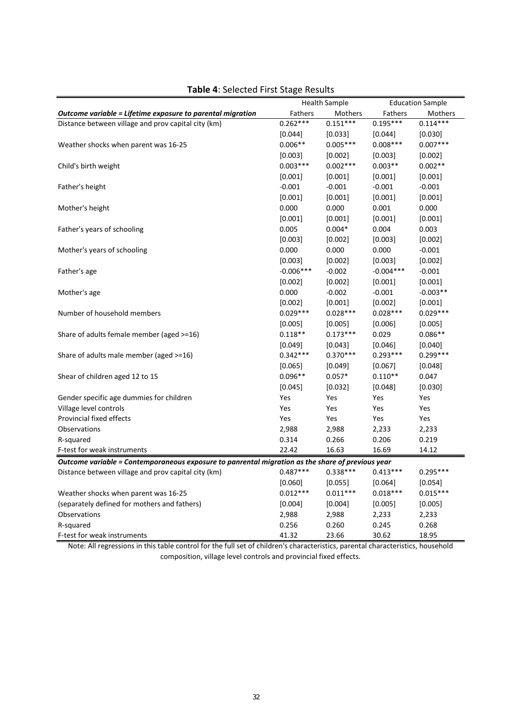|                                                                                                  |             | <b>Health Sample</b> |             | <b>Education Sample</b> |
|--------------------------------------------------------------------------------------------------|-------------|----------------------|-------------|-------------------------|
| Outcome variable = Lifetime exposure to parental migration                                       | Fathers     | Mothers              | Fathers     | Mothers                 |
| Distance between village and prov capital city (km)                                              | $0.262***$  | $0.151***$           | $0.195***$  | $0.114***$              |
|                                                                                                  | $[0.044]$   | [0.033]              | [0.044]     | [0.030]                 |
| Weather shocks when parent was 16-25                                                             | $0.006**$   | $0.005***$           | $0.008***$  | $0.007***$              |
|                                                                                                  | [0.003]     | [0.002]              | [0.003]     | [0.002]                 |
| Child's birth weight                                                                             | $0.003***$  | $0.002***$           | $0.003**$   | $0.002**$               |
|                                                                                                  | $[0.001]$   | $[0.001]$            | [0.001]     | [0.001]                 |
| Father's height                                                                                  | $-0.001$    | $-0.001$             | $-0.001$    | $-0.001$                |
|                                                                                                  | [0.001]     | [0.001]              | [0.001]     | [0.001]                 |
| Mother's height                                                                                  | 0.000       | 0.000                | 0.001       | 0.000                   |
|                                                                                                  | [0.001]     | [0.001]              | [0.001]     | [0.001]                 |
| Father's years of schooling                                                                      | 0.005       | $0.004*$             | 0.004       | 0.003                   |
|                                                                                                  | [0.003]     | [0.002]              | [0.003]     | [0.002]                 |
| Mother's years of schooling                                                                      | 0.000       | 0.000                | 0.000       | $-0.001$                |
|                                                                                                  | [0.003]     | [0.002]              | [0.003]     | [0.002]                 |
| Father's age                                                                                     | $-0.006***$ | $-0.002$             | $-0.004***$ | $-0.001$                |
|                                                                                                  | [0.002]     | [0.002]              | [0.001]     | [0.001]                 |
| Mother's age                                                                                     | 0.000       | $-0.002$             | $-0.001$    | $-0.003**$              |
|                                                                                                  | [0.002]     | [0.001]              | [0.002]     | [0.001]                 |
| Number of household members                                                                      | $0.029***$  | $0.028***$           | $0.028***$  | $0.029***$              |
|                                                                                                  | [0.005]     | [0.005]              | [0.006]     | [0.005]                 |
| Share of adults female member (aged >=16)                                                        | $0.118**$   | $0.173***$           | 0.029       | $0.086**$               |
|                                                                                                  | [0.049]     | $[0.043]$            | [0.046]     | [0.040]                 |
| Share of adults male member (aged >=16)                                                          | $0.342***$  | $0.370***$           | $0.293***$  | $0.299***$              |
|                                                                                                  | [0.065]     | [0.049]              | [0.067]     | [0.048]                 |
| Shear of children aged 12 to 15                                                                  | $0.096**$   | $0.057*$             | $0.110**$   | 0.047                   |
|                                                                                                  | [0.045]     | [0.032]              | [0.048]     | [0.030]                 |
| Gender specific age dummies for children                                                         | Yes         | Yes                  | Yes         | Yes                     |
| Village level controls                                                                           | Yes         | Yes                  | Yes         | Yes                     |
| Provincial fixed effects                                                                         | Yes         | Yes                  | Yes         | Yes                     |
| Observations                                                                                     | 2,988       | 2,988                | 2,233       | 2,233                   |
| R-squared                                                                                        | 0.314       | 0.266                | 0.206       | 0.219                   |
| F-test for weak instruments                                                                      | 22.42       | 16.63                | 16.69       | 14.12                   |
| Outcome variable = Contemporaneous exposure to panrental migration as the share of previous year |             |                      |             |                         |
| Distance between village and prov capital city (km)                                              | $0.487***$  | $0.338***$           | $0.413***$  | $0.295***$              |
|                                                                                                  | [0.060]     | [0.055]              | [0.064]     | [0.054]                 |
| Weather shocks when parent was 16-25                                                             | $0.012***$  | $0.011***$           | $0.018***$  | $0.015***$              |
| (separately defined for mothers and fathers)                                                     | [0.004]     | [0.004]              | [0.005]     | [0.005]                 |
| Observations                                                                                     | 2,988       | 2,988                | 2,233       | 2,233                   |
| R-squared                                                                                        | 0.256       | 0.260                | 0.245       | 0.268                   |
| F-test for weak instruments                                                                      | 41.32       | 23.66                | 30.62       | 18.95                   |

#### **Table 4**: Selected First Stage Results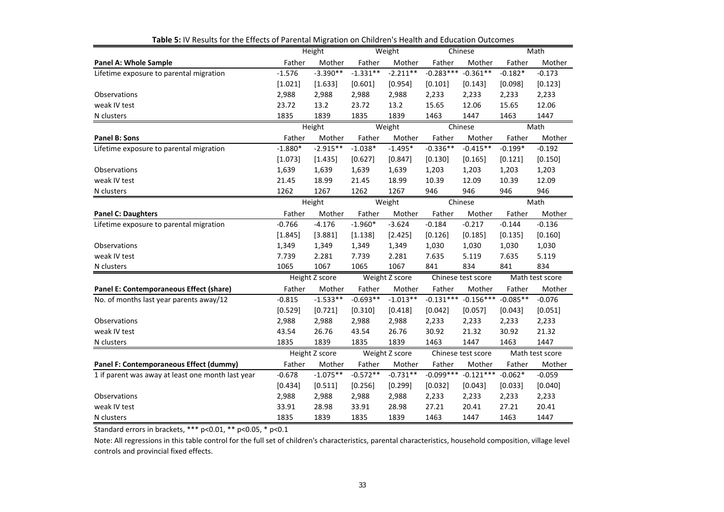|                                                   | Height         |                | Weight         |                | Chinese            |                    | Math            |                 |
|---------------------------------------------------|----------------|----------------|----------------|----------------|--------------------|--------------------|-----------------|-----------------|
| <b>Panel A: Whole Sample</b>                      | Father         | Mother         | Father         | Mother         | Father             | Mother             | Father          | Mother          |
| Lifetime exposure to parental migration           | $-1.576$       | $-3.390**$     | $-1.331**$     | $-2.211**$     | $-0.283***$        | $-0.361**$         | $-0.182*$       | $-0.173$        |
|                                                   | [1.021]        | [1.633]        | [0.601]        | [0.954]        | [0.101]            | [0.143]            | [0.098]         | [0.123]         |
| Observations                                      | 2,988          | 2,988          | 2,988          | 2,988          | 2,233              | 2,233              | 2,233           | 2,233           |
| weak IV test                                      | 23.72          | 13.2           | 23.72          | 13.2           | 15.65              | 12.06              | 15.65           | 12.06           |
| N clusters                                        | 1835           | 1839           | 1835           | 1839           | 1463               | 1447               | 1463            | 1447            |
|                                                   |                | Height         |                | Weight         |                    | Chinese            |                 | Math            |
| Panel B: Sons                                     | Father         | Mother         | Father         | Mother         | Father             | Mother             | Father          | Mother          |
| Lifetime exposure to parental migration           | $-1.880*$      | $-2.915**$     | $-1.038*$      | $-1.495*$      | $-0.336**$         | $-0.415**$         | $-0.199*$       | $-0.192$        |
|                                                   | [1.073]        | [1.435]        | [0.627]        | [0.847]        | [0.130]            | [0.165]            | [0.121]         | [0.150]         |
| Observations                                      | 1,639          | 1,639          | 1,639          | 1,639          | 1,203              | 1,203              | 1,203           | 1,203           |
| weak IV test                                      | 21.45          | 18.99          | 21.45          | 18.99          | 10.39              | 12.09              | 10.39           | 12.09           |
| N clusters                                        | 1262           | 1267           | 1262           | 1267           | 946                | 946                | 946             | 946             |
|                                                   | Height         |                | Weight         |                | Chinese            |                    |                 | Math            |
| <b>Panel C: Daughters</b>                         | Father         | Mother         | Father         | Mother         | Father             | Mother             | Father          | Mother          |
| Lifetime exposure to parental migration           | $-0.766$       | $-4.176$       | $-1.960*$      | $-3.624$       | $-0.184$           | $-0.217$           | $-0.144$        | $-0.136$        |
|                                                   | [1.845]        | [3.881]        | [1.138]        | [2.425]        | [0.126]            | [0.185]            | [0.135]         | [0.160]         |
| Observations                                      | 1,349          | 1,349          | 1,349          | 1,349          | 1,030              | 1,030              | 1,030           | 1,030           |
| weak IV test                                      | 7.739          | 2.281          | 7.739          | 2.281          | 7.635              | 5.119              | 7.635           | 5.119           |
| N clusters                                        | 1065           | 1067           | 1065           | 1067           | 841                | 834                | 841             | 834             |
|                                                   | Height Z score |                |                | Weight Z score |                    | Chinese test score | Math test score |                 |
| Panel E: Contemporaneous Effect (share)           | Father         | Mother         | Father         | Mother         | Father             | Mother             | Father          | Mother          |
| No. of months last year parents away/12           | $-0.815$       | $-1.533**$     | $-0.693**$     | $-1.013**$     | $-0.131***$        | $-0.156***$        | $-0.085**$      | $-0.076$        |
|                                                   | [0.529]        | [0.721]        | [0.310]        | [0.418]        | [0.042]            | [0.057]            | [0.043]         | [0.051]         |
| Observations                                      | 2,988          | 2,988          | 2,988          | 2,988          | 2,233              | 2,233              | 2,233           | 2,233           |
| weak IV test                                      | 43.54          | 26.76          | 43.54          | 26.76          | 30.92              | 21.32              | 30.92           | 21.32           |
| N clusters                                        | 1835           | 1839           | 1835           | 1839           | 1463               | 1447               | 1463            | 1447            |
|                                                   |                | Height Z score | Weight Z score |                | Chinese test score |                    |                 | Math test score |
| Panel F: Contemporaneous Effect (dummy)           | Father         | Mother         | Father         | Mother         | Father             | Mother             | Father          | Mother          |
| 1 if parent was away at least one month last year | $-0.678$       | $-1.075**$     | $-0.572**$     | $-0.731**$     | $-0.099***$        | $-0.121***$        | $-0.062*$       | $-0.059$        |
|                                                   | [0.434]        | [0.511]        | [0.256]        | [0.299]        | [0.032]            | [0.043]            | [0.033]         | [0.040]         |
| Observations                                      | 2,988          | 2,988          | 2,988          | 2,988          | 2,233              | 2,233              | 2,233           | 2,233           |
| weak IV test                                      | 33.91          | 28.98          | 33.91          | 28.98          | 27.21              | 20.41              | 27.21           | 20.41           |
| N clusters                                        | 1835           | 1839           | 1835           | 1839           | 1463               | 1447               | 1463            | 1447            |

**Table 5:** IV Results for the Effects of Parental Migration on Children's Health and Education Outcomes

Standard errors in brackets, \*\*\* p<0.01, \*\* p<0.05, \* p<0.1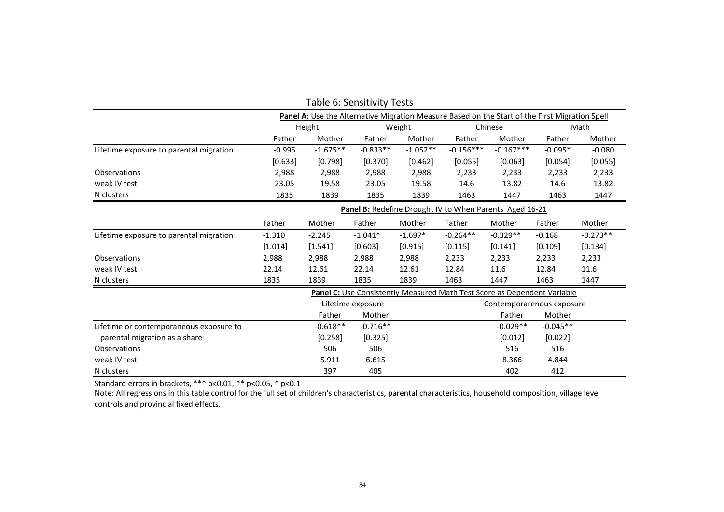|                                         |                                                                                                |                                                         | <b>TODIC O. SCHSILIVILY TESTS</b> |            |             |                                                                          |            |            |  |
|-----------------------------------------|------------------------------------------------------------------------------------------------|---------------------------------------------------------|-----------------------------------|------------|-------------|--------------------------------------------------------------------------|------------|------------|--|
|                                         | Panel A: Use the Alternative Migration Measure Based on the Start of the First Migration Spell |                                                         |                                   |            |             |                                                                          |            |            |  |
|                                         |                                                                                                | Height                                                  |                                   | Weight     |             | Chinese                                                                  |            | Math       |  |
|                                         | Father                                                                                         | Mother                                                  | Father                            | Mother     | Father      | Mother                                                                   | Father     | Mother     |  |
| Lifetime exposure to parental migration | $-0.995$                                                                                       | $-1.675**$                                              | $-0.833**$                        | $-1.052**$ | $-0.156***$ | $-0.167***$                                                              | $-0.095*$  | $-0.080$   |  |
|                                         | [0.633]                                                                                        | [0.798]                                                 | [0.370]                           | [0.462]    | [0.055]     | [0.063]                                                                  | [0.054]    | [0.055]    |  |
| Observations                            | 2,988                                                                                          | 2,988                                                   | 2,988                             | 2,988      | 2,233       | 2,233                                                                    | 2,233      | 2,233      |  |
| weak IV test                            | 23.05                                                                                          | 19.58                                                   | 23.05                             | 19.58      | 14.6        | 13.82                                                                    | 14.6       | 13.82      |  |
| N clusters                              | 1835                                                                                           | 1839                                                    | 1835                              | 1839       | 1463        | 1447                                                                     | 1463       | 1447       |  |
|                                         |                                                                                                | Panel B: Redefine Drought IV to When Parents Aged 16-21 |                                   |            |             |                                                                          |            |            |  |
|                                         | Father                                                                                         | Mother                                                  | Father                            | Mother     | Father      | Mother                                                                   | Father     | Mother     |  |
| Lifetime exposure to parental migration | $-1.310$                                                                                       | $-2.245$                                                | $-1.041*$                         | $-1.697*$  | $-0.264**$  | $-0.329**$                                                               | $-0.168$   | $-0.273**$ |  |
|                                         | [1.014]                                                                                        | [1.541]                                                 | [0.603]                           | [0.915]    | [0.115]     | [0.141]                                                                  | [0.109]    | [0.134]    |  |
| Observations                            | 2,988                                                                                          | 2,988                                                   | 2,988                             | 2,988      | 2,233       | 2,233                                                                    | 2,233      | 2,233      |  |
| weak IV test                            | 22.14                                                                                          | 12.61                                                   | 22.14                             | 12.61      | 12.84       | 11.6                                                                     | 12.84      | 11.6       |  |
| N clusters                              | 1835                                                                                           | 1839                                                    | 1835                              | 1839       | 1463        | 1447                                                                     | 1463       | 1447       |  |
|                                         |                                                                                                |                                                         |                                   |            |             | Panel C: Use Consistently Measured Math Test Score as Dependent Variable |            |            |  |
|                                         |                                                                                                |                                                         | Lifetime exposure                 |            |             | Contemporarenous exposure                                                |            |            |  |
|                                         |                                                                                                | Father                                                  | Mother                            |            |             | Father                                                                   | Mother     |            |  |
| Lifetime or contemporaneous exposure to |                                                                                                | $-0.618**$                                              | $-0.716**$                        |            |             | $-0.029**$                                                               | $-0.045**$ |            |  |
| parental migration as a share           |                                                                                                | [0.258]                                                 | [0.325]                           |            |             | [0.012]                                                                  | [0.022]    |            |  |
| Observations                            |                                                                                                | 506                                                     | 506                               |            |             | 516                                                                      | 516        |            |  |
| weak IV test                            |                                                                                                | 5.911                                                   | 6.615                             |            |             | 8.366                                                                    | 4.844      |            |  |
| N clusters                              |                                                                                                | 397                                                     | 405                               |            |             | 402                                                                      | 412        |            |  |

#### Table 6: Sensitivity Tests

Standard errors in brackets, \*\*\* p<0.01, \*\* p<0.05, \* p<0.1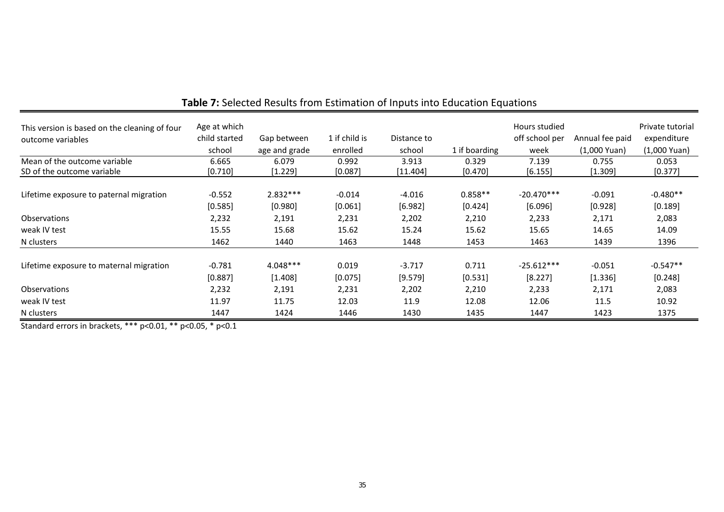| This version is based on the cleaning of four<br>outcome variables | Age at which<br>child started<br>school | Gap between<br>age and grade | 1 if child is<br>enrolled | Distance to<br>school | 1 if boarding      | Hours studied<br>off school per<br>week | Annual fee paid<br>$(1,000$ Yuan) | Private tutorial<br>expenditure<br>$(1,000$ Yuan) |
|--------------------------------------------------------------------|-----------------------------------------|------------------------------|---------------------------|-----------------------|--------------------|-----------------------------------------|-----------------------------------|---------------------------------------------------|
| Mean of the outcome variable<br>SD of the outcome variable         | 6.665<br>[0.710]                        | 6.079<br>[1.229]             | 0.992<br>[0.087]          | 3.913<br>[11.404]     | 0.329<br>$[0.470]$ | 7.139<br>[6.155]                        | 0.755<br>[1.309]                  | 0.053<br>[0.377]                                  |
|                                                                    |                                         |                              |                           |                       |                    |                                         |                                   |                                                   |
| Lifetime exposure to paternal migration                            | $-0.552$                                | $2.832***$                   | $-0.014$                  | $-4.016$              | $0.858**$          | $-20.470***$                            | $-0.091$                          | $-0.480**$                                        |
|                                                                    | [0.585]                                 | [0.980]                      | [0.061]                   | [6.982]               | [0.424]            | [6.096]                                 | [0.928]                           | [0.189]                                           |
| <b>Observations</b>                                                | 2,232                                   | 2,191                        | 2,231                     | 2,202                 | 2,210              | 2,233                                   | 2,171                             | 2,083                                             |
| weak IV test                                                       | 15.55                                   | 15.68                        | 15.62                     | 15.24                 | 15.62              | 15.65                                   | 14.65                             | 14.09                                             |
| N clusters                                                         | 1462                                    | 1440                         | 1463                      | 1448                  | 1453               | 1463                                    | 1439                              | 1396                                              |
| Lifetime exposure to maternal migration                            | $-0.781$<br>[0.887]                     | 4.048***<br>[1.408]          | 0.019<br>[0.075]          | $-3.717$<br>[9.579]   | 0.711<br>[0.531]   | $-25.612***$<br>[8.227]                 | $-0.051$<br>[1.336]               | $-0.547**$<br>[0.248]                             |
| <b>Observations</b>                                                | 2,232                                   | 2,191                        | 2,231                     | 2,202                 | 2,210              | 2,233                                   | 2,171                             | 2,083                                             |
| weak IV test                                                       | 11.97                                   | 11.75                        | 12.03                     | 11.9                  | 12.08              | 12.06                                   | 11.5                              | 10.92                                             |
| N clusters                                                         | 1447                                    | 1424                         | 1446                      | 1430                  | 1435               | 1447                                    | 1423                              | 1375                                              |

# **Table 7:** Selected Results from Estimation of Inputs into Education Equations

Standard errors in brackets, \*\*\* p<0.01, \*\* p<0.05, \* p<0.1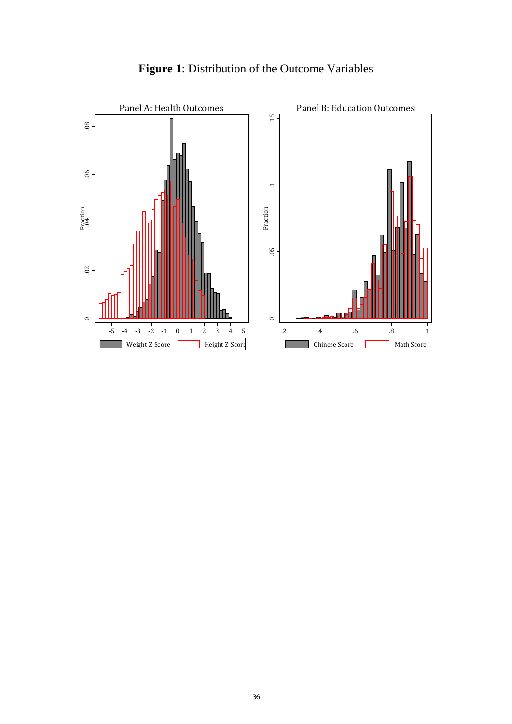

# **Figure 1**: Distribution of the Outcome Variables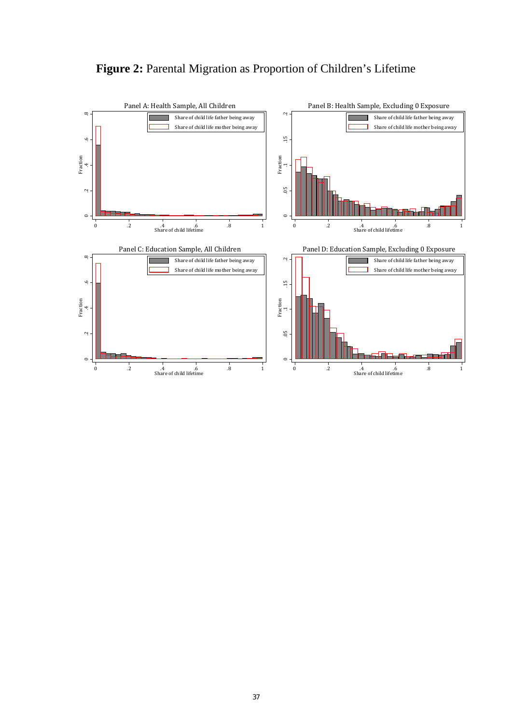

### **Figure 2:** Parental Migration as Proportion of Children's Lifetime

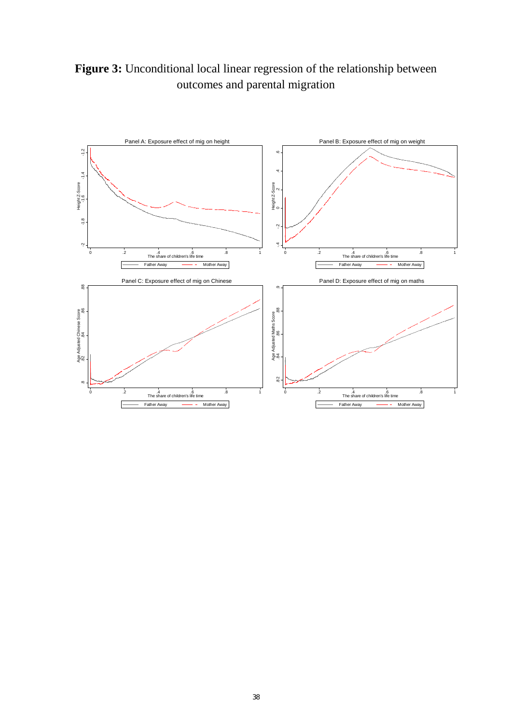**Figure 3:** Unconditional local linear regression of the relationship between outcomes and parental migration

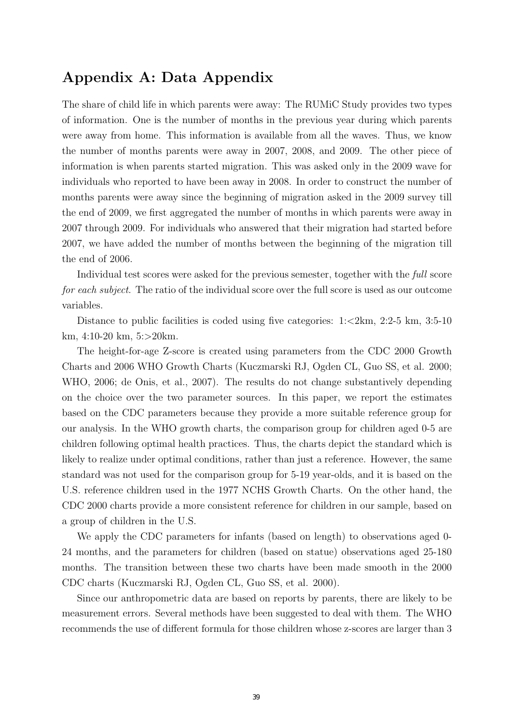# Appendix A: Data Appendix

The share of child life in which parents were away: The RUMiC Study provides two types of information. One is the number of months in the previous year during which parents were away from home. This information is available from all the waves. Thus, we know the number of months parents were away in 2007, 2008, and 2009. The other piece of information is when parents started migration. This was asked only in the 2009 wave for individuals who reported to have been away in 2008. In order to construct the number of months parents were away since the beginning of migration asked in the 2009 survey till the end of 2009, we first aggregated the number of months in which parents were away in 2007 through 2009. For individuals who answered that their migration had started before 2007, we have added the number of months between the beginning of the migration till the end of 2006.

Individual test scores were asked for the previous semester, together with the full score for each subject. The ratio of the individual score over the full score is used as our outcome variables.

Distance to public facilities is coded using five categories:  $1:24$ km,  $2:2-5$  km,  $3:5-10$ km, 4:10-20 km, 5:>20km.

The height-for-age Z-score is created using parameters from the CDC 2000 Growth Charts and 2006 WHO Growth Charts (Kuczmarski RJ, Ogden CL, Guo SS, et al. 2000; WHO, 2006; de Onis, et al., 2007). The results do not change substantively depending on the choice over the two parameter sources. In this paper, we report the estimates based on the CDC parameters because they provide a more suitable reference group for our analysis. In the WHO growth charts, the comparison group for children aged 0-5 are children following optimal health practices. Thus, the charts depict the standard which is likely to realize under optimal conditions, rather than just a reference. However, the same standard was not used for the comparison group for 5-19 year-olds, and it is based on the U.S. reference children used in the 1977 NCHS Growth Charts. On the other hand, the CDC 2000 charts provide a more consistent reference for children in our sample, based on a group of children in the U.S.

We apply the CDC parameters for infants (based on length) to observations aged 0- 24 months, and the parameters for children (based on statue) observations aged 25-180 months. The transition between these two charts have been made smooth in the 2000 CDC charts (Kuczmarski RJ, Ogden CL, Guo SS, et al. 2000).

Since our anthropometric data are based on reports by parents, there are likely to be measurement errors. Several methods have been suggested to deal with them. The WHO recommends the use of different formula for those children whose z-scores are larger than 3